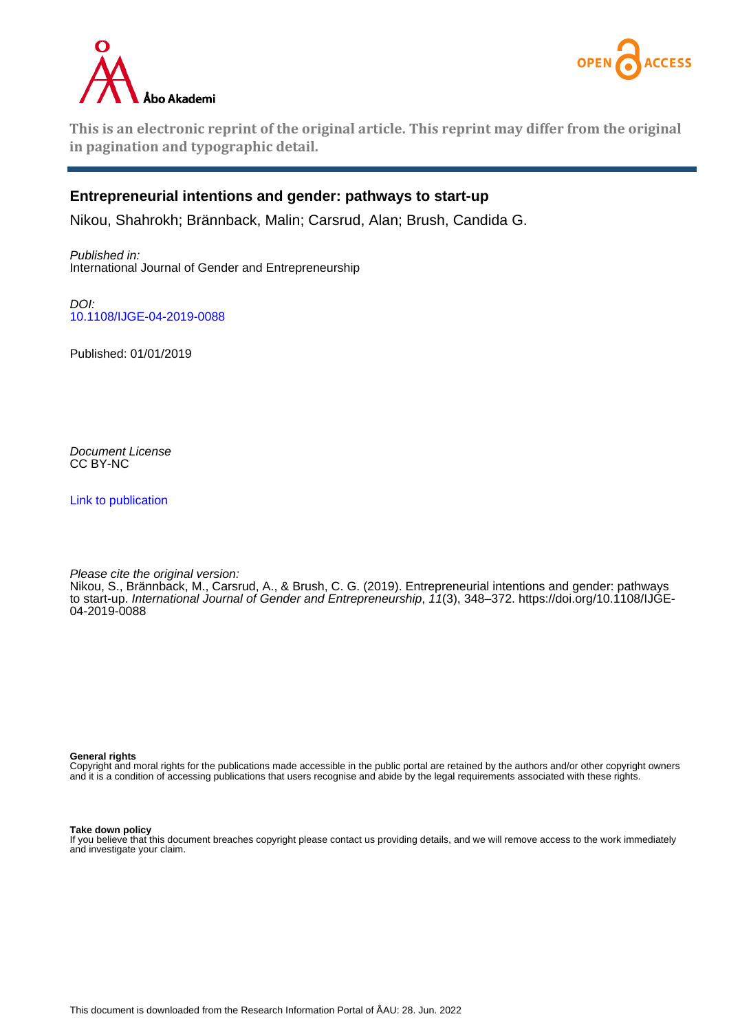



**This is an electronic reprint of the original article. This reprint may differ from the original in pagination and typographic detail.**

## **Entrepreneurial intentions and gender: pathways to start-up**

Nikou, Shahrokh; Brännback, Malin; Carsrud, Alan; Brush, Candida G.

Published in: International Journal of Gender and Entrepreneurship

DOI: [10.1108/IJGE-04-2019-0088](https://doi.org/10.1108/IJGE-04-2019-0088)

Published: 01/01/2019

Document License CC BY-NC

[Link to publication](https://research.abo.fi/en/publications/06d26458-d6d1-4da8-ab66-0234da41822e)

Please cite the original version:

Nikou, S., Brännback, M., Carsrud, A., & Brush, C. G. (2019). Entrepreneurial intentions and gender: pathways to start-up. International Journal of Gender and Entrepreneurship, 11(3), 348–372. [https://doi.org/10.1108/IJGE-](https://doi.org/10.1108/IJGE-04-2019-0088)[04-2019-0088](https://doi.org/10.1108/IJGE-04-2019-0088)

#### **General rights**

Copyright and moral rights for the publications made accessible in the public portal are retained by the authors and/or other copyright owners and it is a condition of accessing publications that users recognise and abide by the legal requirements associated with these rights.

#### **Take down policy**

If you believe that this document breaches copyright please contact us providing details, and we will remove access to the work immediately and investigate your claim.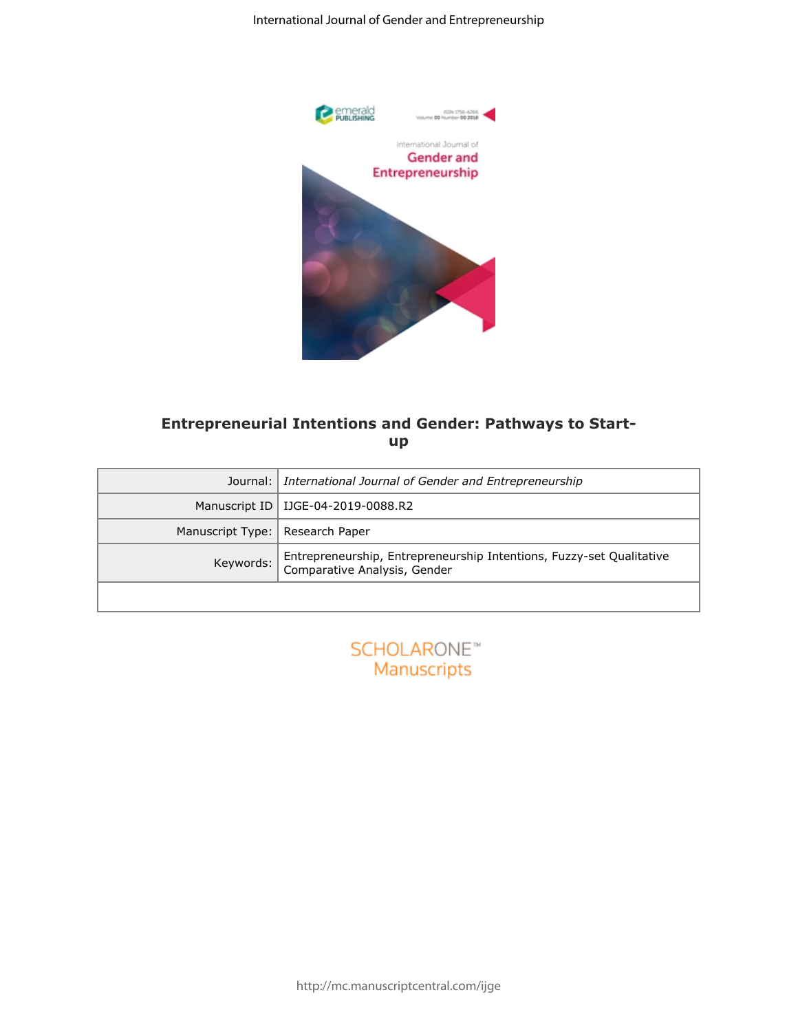

# **Entrepreneurial Intentions and Gender: Pathways to Startup**

| emerald<br>PUBLISHING<br>e<br>ISSN 1756-6266<br>Volume 00 Number 00 2018<br>International Journal of<br><b>Gender and</b><br>Entrepreneurship<br><b>Entrepreneurial Intentions and Gender: Pathways to Start-</b><br>up<br>Journal:<br>International Journal of Gender and Entrepreneurship<br>Manuscript ID   IJGE-04-2019-0088.R2<br>Manuscript Type:   Research Paper<br>Entrepreneurship, Entrepreneurship Intentions, Fuzzy-set Qualitative<br>Keywords:<br>Comparative Analysis, Gender<br><b>SCHOLARONE™</b><br>Manuscripts | International Journal of Gender and Entrepreneurship |
|------------------------------------------------------------------------------------------------------------------------------------------------------------------------------------------------------------------------------------------------------------------------------------------------------------------------------------------------------------------------------------------------------------------------------------------------------------------------------------------------------------------------------------|------------------------------------------------------|
|                                                                                                                                                                                                                                                                                                                                                                                                                                                                                                                                    |                                                      |
|                                                                                                                                                                                                                                                                                                                                                                                                                                                                                                                                    |                                                      |
|                                                                                                                                                                                                                                                                                                                                                                                                                                                                                                                                    |                                                      |
|                                                                                                                                                                                                                                                                                                                                                                                                                                                                                                                                    |                                                      |
|                                                                                                                                                                                                                                                                                                                                                                                                                                                                                                                                    |                                                      |
|                                                                                                                                                                                                                                                                                                                                                                                                                                                                                                                                    |                                                      |
|                                                                                                                                                                                                                                                                                                                                                                                                                                                                                                                                    |                                                      |

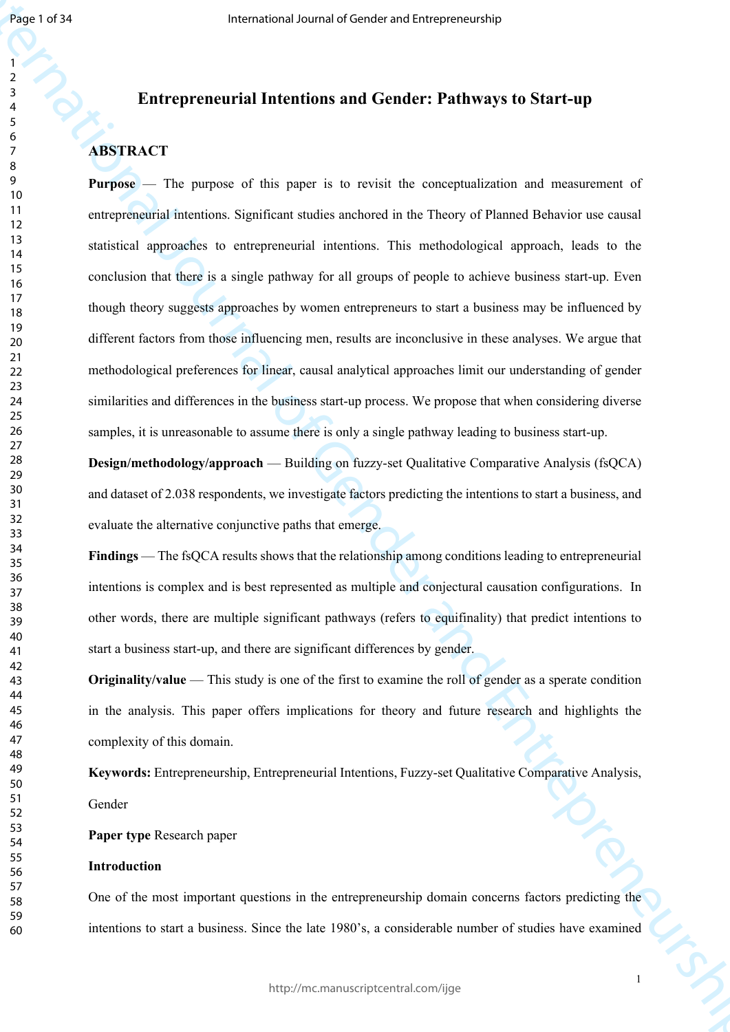## **Entrepreneurial Intentions and Gender: Pathways to Start-up**

# **ABSTRACT**

**Example 2018**<br> **Example 2020**<br> **Example 2020**<br> **Example 2020**<br> **Example 2020**<br> **Example 2020**<br> **Example 2020**<br> **Express of this paper is to receive the conceptation and returned of<br>
<b>Pression** 21 **Pression 2020**<br> **Pressi Purpose** — The purpose of this paper is to revisit the conceptualization and measurement of entrepreneurial intentions. Significant studies anchored in the Theory of Planned Behavior use causal statistical approaches to entrepreneurial intentions. This methodological approach, leads to the conclusion that there is a single pathway for all groups of people to achieve business start-up. Even though theory suggests approaches by women entrepreneurs to start a business may be influenced by different factors from those influencing men, results are inconclusive in these analyses. We argue that methodological preferences for linear, causal analytical approaches limit our understanding of gender similarities and differences in the business start-up process. We propose that when considering diverse samples, it is unreasonable to assume there is only a single pathway leading to business start-up.

**Design/methodology/approach** — Building on fuzzy-set Qualitative Comparative Analysis (fsQCA) and dataset of 2.038 respondents, we investigate factors predicting the intentions to start a business, and evaluate the alternative conjunctive paths that emerge.

**Findings** — The fsQCA results shows that the relationship among conditions leading to entrepreneurial intentions is complex and is best represented as multiple and conjectural causation configurations. In other words, there are multiple significant pathways (refers to equifinality) that predict intentions to start a business start-up, and there are significant differences by gender.

**Originality/value** — This study is one of the first to examine the roll of gender as a sperate condition in the analysis. This paper offers implications for theory and future research and highlights the complexity of this domain.

**Keywords:** Entrepreneurship, Entrepreneurial Intentions, Fuzzy-set Qualitative Comparative Analysis,

Gender

**Paper type** Research paper

### **Introduction**

One of the most important questions in the entrepreneurship domain concerns factors predicting the intentions to start a business. Since the late 1980's, a considerable number of studies have examined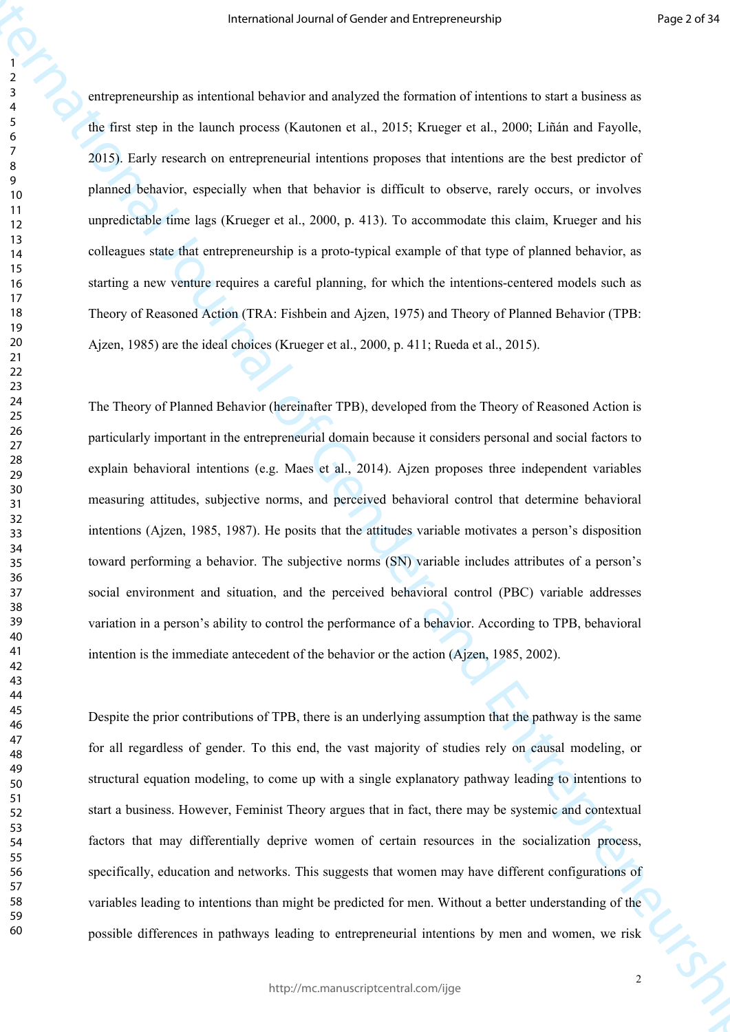Frame of Louis and Markov mail of Gender and Districts (Fig. 1973)<br>
The distribution is a distribution of Gender and Apple To Consider and The Barbara Scheme and Theodor<br>
The distribution is a distribution of General Mark entrepreneurship as intentional behavior and analyzed the formation of intentions to start a business as the first step in the launch process (Kautonen et al., 2015; Krueger et al., 2000; Liñán and Fayolle, 2015). Early research on entrepreneurial intentions proposes that intentions are the best predictor of planned behavior, especially when that behavior is difficult to observe, rarely occurs, or involves unpredictable time lags (Krueger et al., 2000, p. 413). To accommodate this claim, Krueger and his colleagues state that entrepreneurship is a proto-typical example of that type of planned behavior, as starting a new venture requires a careful planning, for which the intentions-centered models such as Theory of Reasoned Action (TRA: Fishbein and Ajzen, 1975) and Theory of Planned Behavior (TPB: Ajzen, 1985) are the ideal choices (Krueger et al., 2000, p. 411; Rueda et al., 2015).

The Theory of Planned Behavior (hereinafter TPB), developed from the Theory of Reasoned Action is particularly important in the entrepreneurial domain because it considers personal and social factors to explain behavioral intentions (e.g. Maes et al., 2014). Ajzen proposes three independent variables measuring attitudes, subjective norms, and perceived behavioral control that determine behavioral intentions (Ajzen, 1985, 1987). He posits that the attitudes variable motivates a person's disposition toward performing a behavior. The subjective norms (SN) variable includes attributes of a person's social environment and situation, and the perceived behavioral control (PBC) variable addresses variation in a person's ability to control the performance of a behavior. According to TPB, behavioral intention is the immediate antecedent of the behavior or the action (Ajzen, 1985, 2002).

Despite the prior contributions of TPB, there is an underlying assumption that the pathway is the same for all regardless of gender. To this end, the vast majority of studies rely on causal modeling, or structural equation modeling, to come up with a single explanatory pathway leading to intentions to start a business. However, Feminist Theory argues that in fact, there may be systemic and contextual factors that may differentially deprive women of certain resources in the socialization process, specifically, education and networks. This suggests that women may have different configurations of variables leading to intentions than might be predicted for men. Without a better understanding of the possible differences in pathways leading to entrepreneurial intentions by men and women, we risk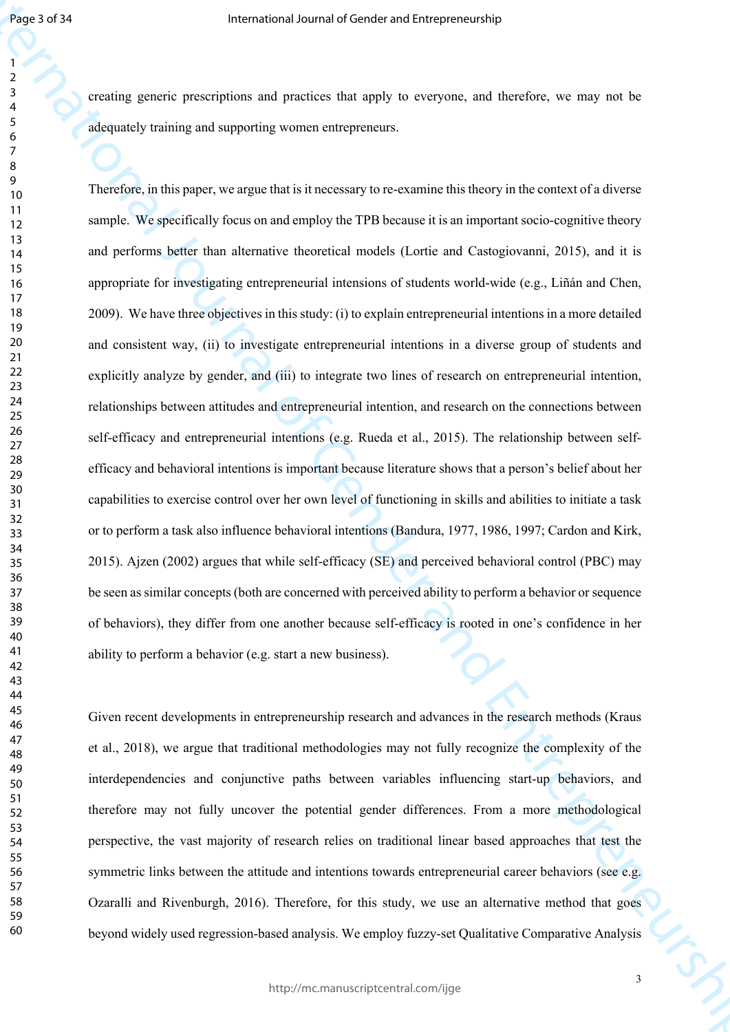creating generic prescriptions and practices that apply to everyone, and therefore, we may not be adequately training and supporting women entrepreneurs.

Figure 2013<br>
From gravite process of particular and predicts that may be everyone, and therefore, we may see the<br>
declared transition and provide women entrepreneurs are required to the<br>
declared transition and provide wo Therefore, in this paper, we argue that is it necessary to re-examine this theory in the context of a diverse sample. We specifically focus on and employ the TPB because it is an important socio-cognitive theory and performs better than alternative theoretical models (Lortie and Castogiovanni, 2015), and it is appropriate for investigating entrepreneurial intensions of students world-wide (e.g., Liñán and Chen, 2009). We have three objectives in this study: (i) to explain entrepreneurial intentions in a more detailed and consistent way, (ii) to investigate entrepreneurial intentions in a diverse group of students and explicitly analyze by gender, and (iii) to integrate two lines of research on entrepreneurial intention, relationships between attitudes and entrepreneurial intention, and research on the connections between self-efficacy and entrepreneurial intentions (e.g. Rueda et al., 2015). The relationship between selfefficacy and behavioral intentions is important because literature shows that a person's belief about her capabilities to exercise control over her own level of functioning in skills and abilities to initiate a task or to perform a task also influence behavioral intentions (Bandura, 1977, 1986, 1997; Cardon and Kirk, 2015). Ajzen (2002) argues that while self-efficacy (SE) and perceived behavioral control (PBC) may be seen as similar concepts (both are concerned with perceived ability to perform a behavior or sequence of behaviors), they differ from one another because self-efficacy is rooted in one's confidence in her ability to perform a behavior (e.g. start a new business).

Given recent developments in entrepreneurship research and advances in the research methods (Kraus et al., 2018), we argue that traditional methodologies may not fully recognize the complexity of the interdependencies and conjunctive paths between variables influencing start-up behaviors, and therefore may not fully uncover the potential gender differences. From a more methodological perspective, the vast majority of research relies on traditional linear based approaches that test the symmetric links between the attitude and intentions towards entrepreneurial career behaviors (see e.g. Ozaralli and Rivenburgh, 2016). Therefore, for this study, we use an alternative method that goes beyond widely used regression-based analysis. We employ fuzzy-set Qualitative Comparative Analysis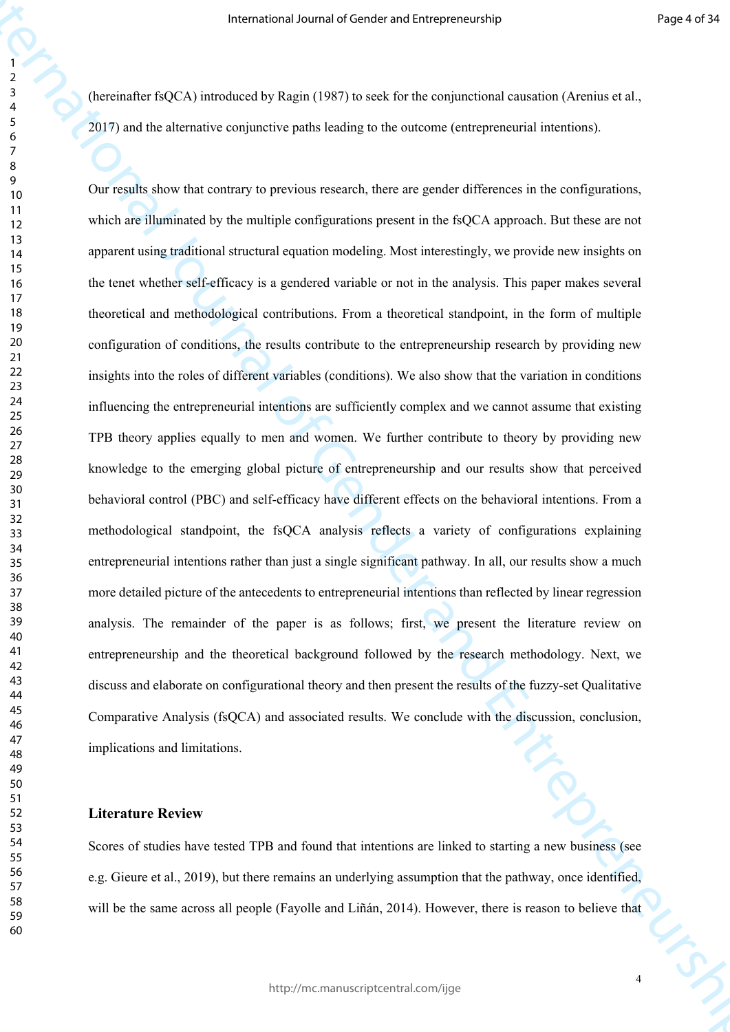(hereinafter fsQCA) introduced by Ragin (1987) to seek for the conjunctional causation (Arenius et al., 2017) and the alternative conjunctive paths leading to the outcome (entrepreneurial intentions).

Freenatoral Journal of Gender and Latingweisenschip<br>
International Office Control of Gender and Schwarz (1973) and the theoretical Schwarz (1974)<br>
The Control of Generative control of Gender and Entrepreneurship and Theor Our results show that contrary to previous research, there are gender differences in the configurations, which are illuminated by the multiple configurations present in the fsQCA approach. But these are not apparent using traditional structural equation modeling. Most interestingly, we provide new insights on the tenet whether self-efficacy is a gendered variable or not in the analysis. This paper makes several theoretical and methodological contributions. From a theoretical standpoint, in the form of multiple configuration of conditions, the results contribute to the entrepreneurship research by providing new insights into the roles of different variables (conditions). We also show that the variation in conditions influencing the entrepreneurial intentions are sufficiently complex and we cannot assume that existing TPB theory applies equally to men and women. We further contribute to theory by providing new knowledge to the emerging global picture of entrepreneurship and our results show that perceived behavioral control (PBC) and self-efficacy have different effects on the behavioral intentions. From a methodological standpoint, the fsQCA analysis reflects a variety of configurations explaining entrepreneurial intentions rather than just a single significant pathway. In all, our results show a much more detailed picture of the antecedents to entrepreneurial intentions than reflected by linear regression analysis. The remainder of the paper is as follows; first, we present the literature review on entrepreneurship and the theoretical background followed by the research methodology. Next, we discuss and elaborate on configurational theory and then present the results of the fuzzy-set Qualitative Comparative Analysis (fsQCA) and associated results. We conclude with the discussion, conclusion, implications and limitations.

## **Literature Review**

Scores of studies have tested TPB and found that intentions are linked to starting a new business (see e.g. Gieure et al., 2019), but there remains an underlying assumption that the pathway, once identified, will be the same across all people (Fayolle and Liñán, 2014). However, there is reason to believe that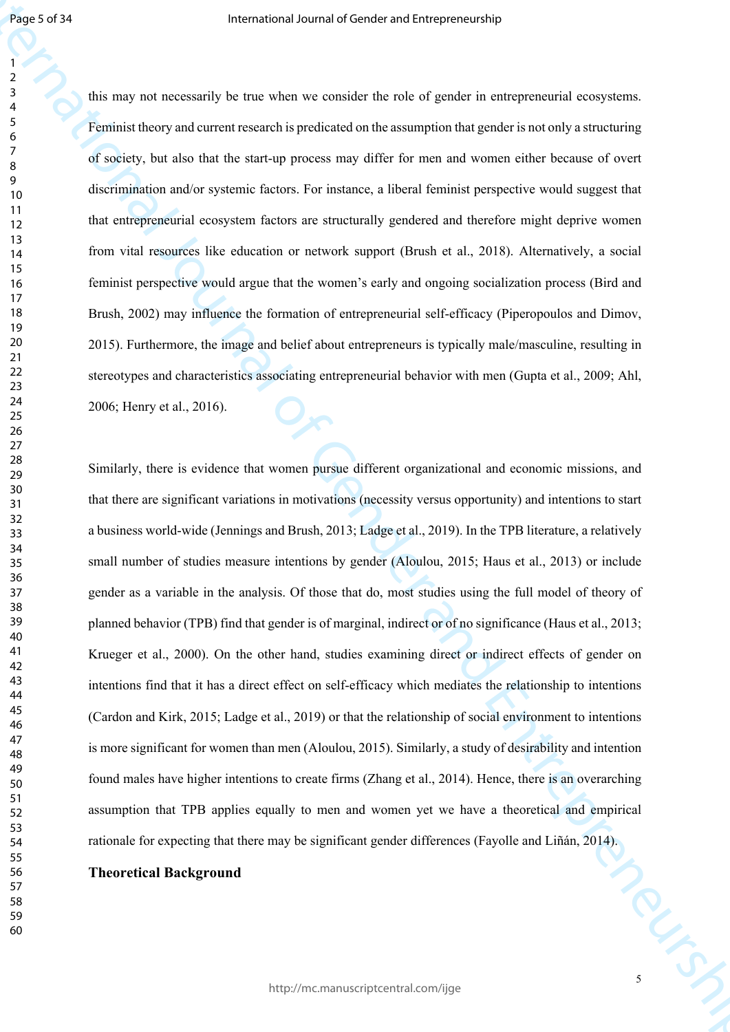this may not necessarily be true when we consider the role of gender in entrepreneurial ecosystems. Feminist theory and current research is predicated on the assumption that gender is not only a structuring of society, but also that the start-up process may differ for men and women either because of overt discrimination and/or systemic factors. For instance, a liberal feminist perspective would suggest that that entrepreneurial ecosystem factors are structurally gendered and therefore might deprive women from vital resources like education or network support (Brush et al., 2018). Alternatively, a social feminist perspective would argue that the women's early and ongoing socialization process (Bird and Brush, 2002) may influence the formation of entrepreneurial self-efficacy (Piperopoulos and Dimov, 2015). Furthermore, the image and belief about entrepreneurs is typically male/masculine, resulting in stereotypes and characteristics associating entrepreneurial behavior with men (Gupta et al., 2009; Ahl, 2006; Henry et al., 2016).

Figs. 2013<br>
The may not occurrely be the solven or consider the other dephends of gradient considerations of Gender and American Consider the solven of Gender and American Street and Street and Street and Street and Stree Similarly, there is evidence that women pursue different organizational and economic missions, and that there are significant variations in motivations (necessity versus opportunity) and intentions to start a business world-wide (Jennings and Brush, 2013; Ladge et al., 2019). In the TPB literature, a relatively small number of studies measure intentions by gender (Aloulou, 2015; Haus et al., 2013) or include gender as a variable in the analysis. Of those that do, most studies using the full model of theory of planned behavior (TPB) find that gender is of marginal, indirect or of no significance (Haus et al., 2013; Krueger et al., 2000). On the other hand, studies examining direct or indirect effects of gender on intentions find that it has a direct effect on self-efficacy which mediates the relationship to intentions (Cardon and Kirk, 2015; Ladge et al., 2019) or that the relationship of social environment to intentions is more significant for women than men (Aloulou, 2015). Similarly, a study of desirability and intention found males have higher intentions to create firms (Zhang et al., 2014). Hence, there is an overarching assumption that TPB applies equally to men and women yet we have a theoretical and empirical rationale for expecting that there may be significant gender differences (Fayolle and Liñán, 2014).

#### **Theoretical Background**

Tony st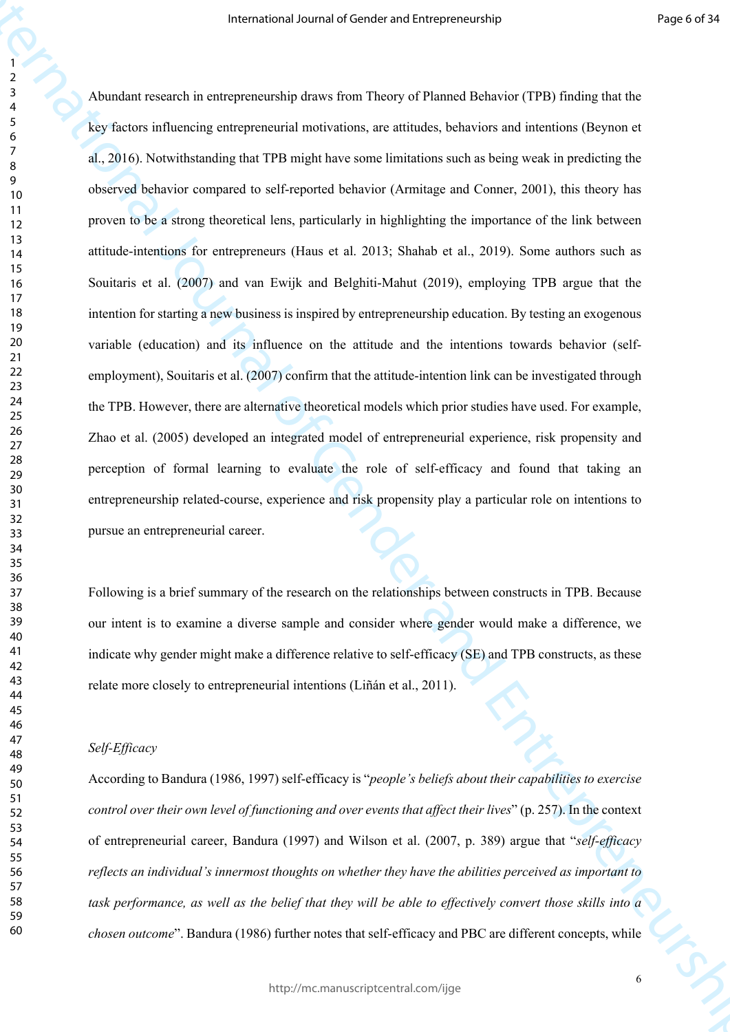Framework Jeanna of Conteins and Conteins process of Figure 2018<br>
A Annalog counter and a contexponential positivities, are similate, believing and finding the line<br>
Section international of General Annalog counter the Se Abundant research in entrepreneurship draws from Theory of Planned Behavior (TPB) finding that the key factors influencing entrepreneurial motivations, are attitudes, behaviors and intentions (Beynon et al., 2016). Notwithstanding that TPB might have some limitations such as being weak in predicting the observed behavior compared to self-reported behavior (Armitage and Conner, 2001), this theory has proven to be a strong theoretical lens, particularly in highlighting the importance of the link between attitude-intentions for entrepreneurs (Haus et al. 2013; Shahab et al., 2019). Some authors such as Souitaris et al. (2007) and van Ewijk and Belghiti-Mahut (2019), employing TPB argue that the intention for starting a new business is inspired by entrepreneurship education. By testing an exogenous variable (education) and its influence on the attitude and the intentions towards behavior (selfemployment), Souitaris et al. (2007) confirm that the attitude-intention link can be investigated through the TPB. However, there are alternative theoretical models which prior studies have used. For example, Zhao et al. (2005) developed an integrated model of entrepreneurial experience, risk propensity and perception of formal learning to evaluate the role of self-efficacy and found that taking an entrepreneurship related-course, experience and risk propensity play a particular role on intentions to pursue an entrepreneurial career.

Following is a brief summary of the research on the relationships between constructs in TPB. Because our intent is to examine a diverse sample and consider where gender would make a difference, we indicate why gender might make a difference relative to self-efficacy (SE) and TPB constructs, as these relate more closely to entrepreneurial intentions (Liñán et al., 2011).

#### *Self-Efficacy*

According to Bandura (1986, 1997) self-efficacy is "*people's beliefs about their capabilities to exercise control over their own level of functioning and over events that affect their lives*" (p. 257). In the context of entrepreneurial career, Bandura (1997) and Wilson et al. (2007, p. 389) argue that "*self-efficacy reflects an individual's innermost thoughts on whether they have the abilities perceived as important to task performance, as well as the belief that they will be able to effectively convert those skills into a chosen outcome*". Bandura (1986) further notes that self-efficacy and PBC are different concepts, while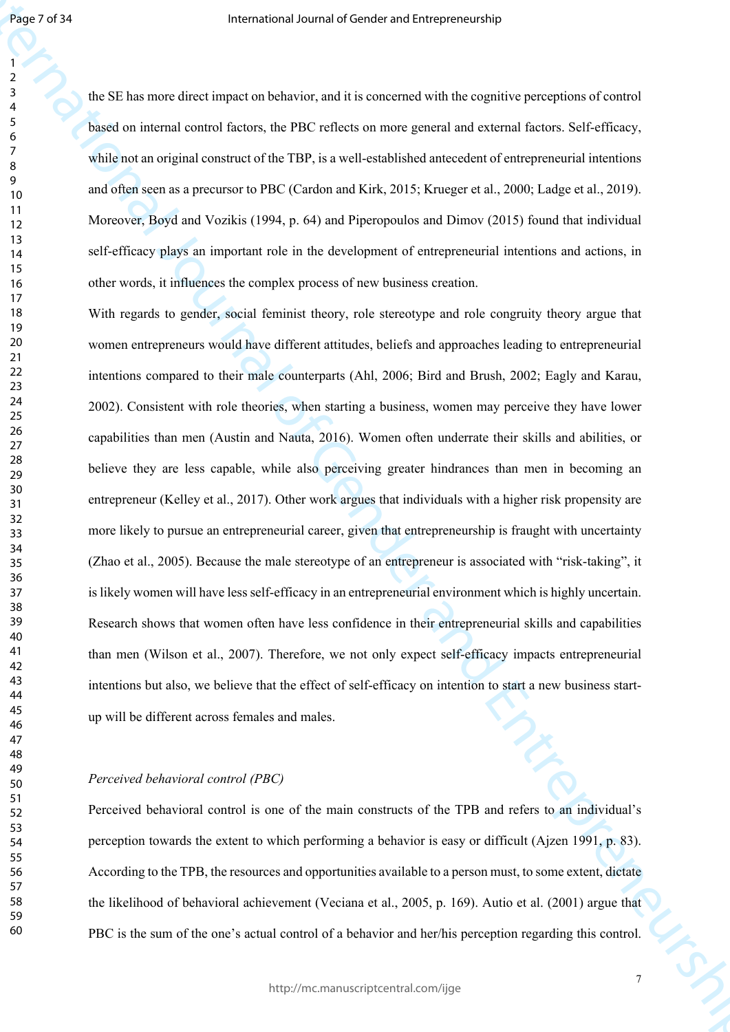the SE has more direct impact on behavior, and it is concerned with the cognitive perceptions of control based on internal control factors, the PBC reflects on more general and external factors. Self-efficacy, while not an original construct of the TBP, is a well-established antecedent of entrepreneurial intentions and often seen as a precursor to PBC (Cardon and Kirk, 2015; Krueger et al., 2000; Ladge et al., 2019). Moreover, Boyd and Vozikis (1994, p. 64) and Piperopoulos and Dimov (2015) found that individual self-efficacy plays an important role in the development of entrepreneurial intentions and actions, in other words, it influences the complex process of new business creation.

Figure of Fit<br>
Framewood shows an effective particular control of the Valence of General Anti-<br>
Figure 3.1 The Valence of General Control of General Control of General Control of General Control of General Control of Gene With regards to gender, social feminist theory, role stereotype and role congruity theory argue that women entrepreneurs would have different attitudes, beliefs and approaches leading to entrepreneurial intentions compared to their male counterparts (Ahl, 2006; Bird and Brush, 2002; Eagly and Karau, 2002). Consistent with role theories, when starting a business, women may perceive they have lower capabilities than men (Austin and Nauta, 2016). Women often underrate their skills and abilities, or believe they are less capable, while also perceiving greater hindrances than men in becoming an entrepreneur (Kelley et al., 2017). Other work argues that individuals with a higher risk propensity are more likely to pursue an entrepreneurial career, given that entrepreneurship is fraught with uncertainty (Zhao et al., 2005). Because the male stereotype of an entrepreneur is associated with "risk-taking", it is likely women will have less self-efficacy in an entrepreneurial environment which is highly uncertain. Research shows that women often have less confidence in their entrepreneurial skills and capabilities than men (Wilson et al., 2007). Therefore, we not only expect self-efficacy impacts entrepreneurial intentions but also, we believe that the effect of self-efficacy on intention to start a new business startup will be different across females and males.

## *Perceived behavioral control (PBC)*

Perceived behavioral control is one of the main constructs of the TPB and refers to an individual's perception towards the extent to which performing a behavior is easy or difficult (Ajzen 1991, p. 83). According to the TPB, the resources and opportunities available to a person must, to some extent, dictate the likelihood of behavioral achievement (Veciana et al., 2005, p. 169). Autio et al. (2001) argue that PBC is the sum of the one's actual control of a behavior and her/his perception regarding this control.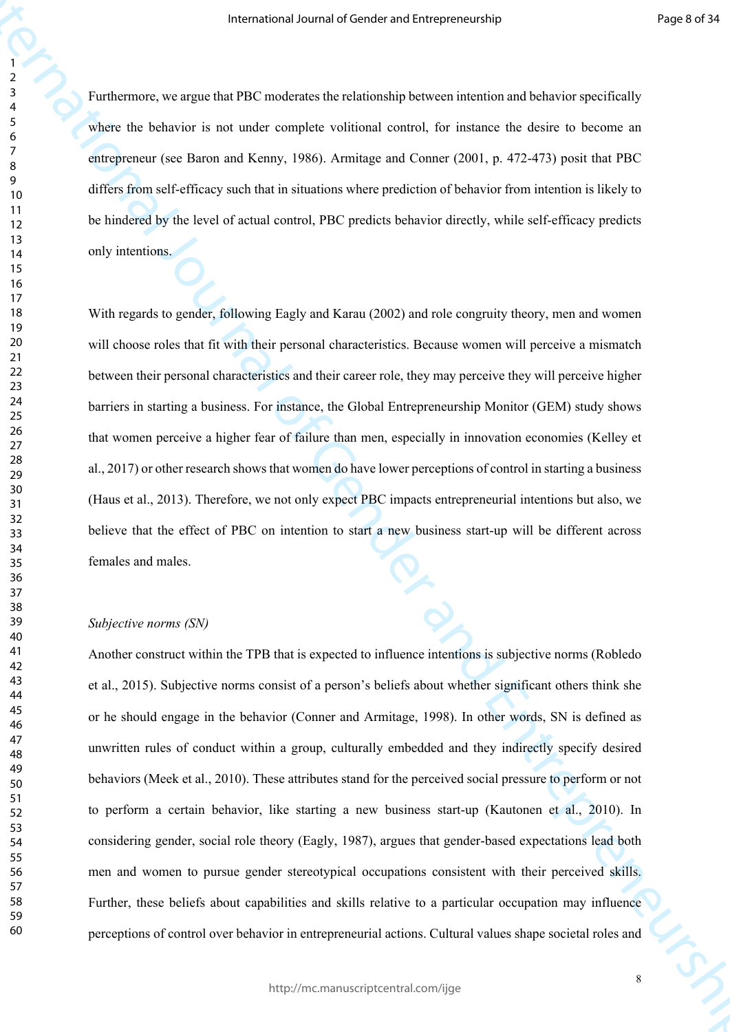Furthermore, we argue that PBC moderates the relationship between intention and behavior specifically where the behavior is not under complete volitional control, for instance the desire to become an entrepreneur (see Baron and Kenny, 1986). Armitage and Conner (2001, p. 472-473) posit that PBC differs from self-efficacy such that in situations where prediction of behavior from intention is likely to be hindered by the level of actual control, PBC predicts behavior directly, while self-efficacy predicts only intentions.

With regards to gender, following Eagly and Karau (2002) and role congruity theory, men and women will choose roles that fit with their personal characteristics. Because women will perceive a mismatch between their personal characteristics and their career role, they may perceive they will perceive higher barriers in starting a business. For instance, the Global Entrepreneurship Monitor (GEM) study shows that women perceive a higher fear of failure than men, especially in innovation economies (Kelley et al., 2017) or other research shows that women do have lower perceptions of control in starting a business (Haus et al., 2013). Therefore, we not only expect PBC impacts entrepreneurial intentions but also, we believe that the effect of PBC on intention to start a new business start-up will be different across females and males.

## *Subjective norms (SN)*

Framewood Jeanna of Gender and Universe conditional Properties<br>
The View Let Extensive is an under complete volidated control. In the<br>temperature of Entrepreneurs and Mente, 1966. Armings and Comme CoCo and The Section is Another construct within the TPB that is expected to influence intentions is subjective norms (Robledo et al., 2015). Subjective norms consist of a person's beliefs about whether significant others think she or he should engage in the behavior (Conner and Armitage, 1998). In other words, SN is defined as unwritten rules of conduct within a group, culturally embedded and they indirectly specify desired behaviors (Meek et al., 2010). These attributes stand for the perceived social pressure to perform or not to perform a certain behavior, like starting a new business start-up (Kautonen et al., 2010). In considering gender, social role theory (Eagly, 1987), argues that gender-based expectations lead both men and women to pursue gender stereotypical occupations consistent with their perceived skills. Further, these beliefs about capabilities and skills relative to a particular occupation may influence perceptions of control over behavior in entrepreneurial actions. Cultural values shape societal roles and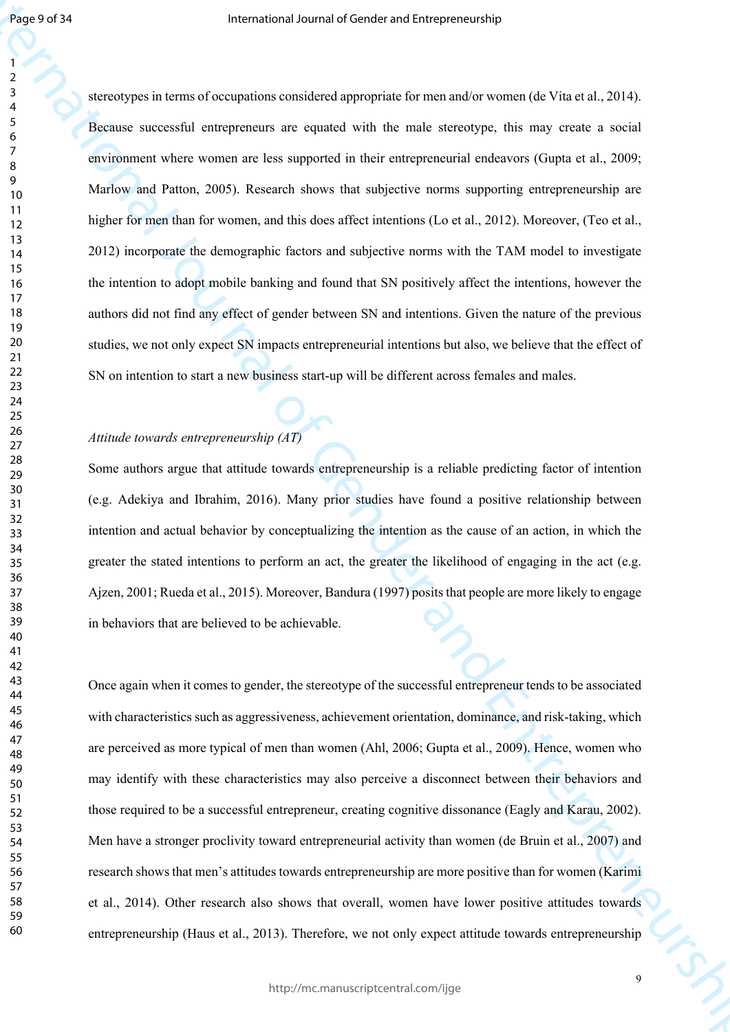Figure of A<br>
For expectation the surface qualitative of the surface of the surface of Entrepreneurship<br>  $\frac{1}{2}$ <br>  $\frac{1}{2}$ <br>  $\frac{1}{2}$ <br>  $\frac{1}{2}$ <br>  $\frac{1}{2}$ <br>  $\frac{1}{2}$ <br>  $\frac{1}{2}$ <br>  $\frac{1}{2}$ <br>  $\frac{1}{2}$ <br>  $\frac{1}{2}$ <br>  $\frac{1}{2$ stereotypes in terms of occupations considered appropriate for men and/or women (de Vita et al., 2014). Because successful entrepreneurs are equated with the male stereotype, this may create a social environment where women are less supported in their entrepreneurial endeavors (Gupta et al., 2009; Marlow and Patton, 2005). Research shows that subjective norms supporting entrepreneurship are higher for men than for women, and this does affect intentions (Lo et al., 2012). Moreover, (Teo et al., 2012) incorporate the demographic factors and subjective norms with the TAM model to investigate the intention to adopt mobile banking and found that SN positively affect the intentions, however the authors did not find any effect of gender between SN and intentions. Given the nature of the previous studies, we not only expect SN impacts entrepreneurial intentions but also, we believe that the effect of SN on intention to start a new business start-up will be different across females and males.

## *Attitude towards entrepreneurship (AT)*

Some authors argue that attitude towards entrepreneurship is a reliable predicting factor of intention (e.g. Adekiya and Ibrahim, 2016). Many prior studies have found a positive relationship between intention and actual behavior by conceptualizing the intention as the cause of an action, in which the greater the stated intentions to perform an act, the greater the likelihood of engaging in the act (e.g. Ajzen, 2001; Rueda et al., 2015). Moreover, Bandura (1997) posits that people are more likely to engage in behaviors that are believed to be achievable.

Once again when it comes to gender, the stereotype of the successful entrepreneur tends to be associated with characteristics such as aggressiveness, achievement orientation, dominance, and risk-taking, which are perceived as more typical of men than women (Ahl, 2006; Gupta et al., 2009). Hence, women who may identify with these characteristics may also perceive a disconnect between their behaviors and those required to be a successful entrepreneur, creating cognitive dissonance (Eagly and Karau, 2002). Men have a stronger proclivity toward entrepreneurial activity than women (de Bruin et al., 2007) and research shows that men's attitudes towards entrepreneurship are more positive than for women (Karimi et al., 2014). Other research also shows that overall, women have lower positive attitudes towards entrepreneurship (Haus et al., 2013). Therefore, we not only expect attitude towards entrepreneurship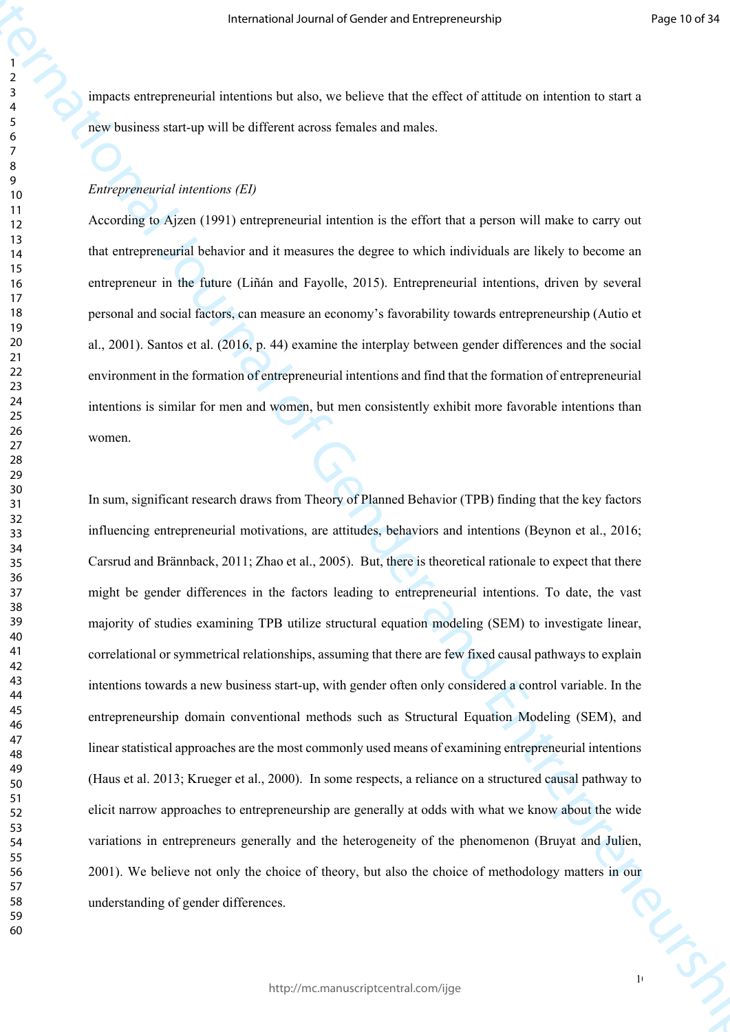impacts entrepreneurial intentions but also, we believe that the effect of attitude on intention to start a new business start-up will be different across females and males.

## *Entrepreneurial intentions (EI)*

According to Ajzen (1991) entrepreneurial intention is the effort that a person will make to carry out that entrepreneurial behavior and it measures the degree to which individuals are likely to become an entrepreneur in the future (Liñán and Fayolle, 2015). Entrepreneurial intentions, driven by several personal and social factors, can measure an economy's favorability towards entrepreneurship (Autio et al., 2001). Santos et al. (2016, p. 44) examine the interplay between gender differences and the social environment in the formation of entrepreneurial intentions and find that the formation of entrepreneurial intentions is similar for men and women, but men consistently exhibit more favorable intentions than women.

Framewood Jeanna of Constant with the granitective results of the General Constant Constant Constant Constant Constant Constant Constant Constant Constant Constant Constant Constant Constant Constant Constant Constant Con In sum, significant research draws from Theory of Planned Behavior (TPB) finding that the key factors influencing entrepreneurial motivations, are attitudes, behaviors and intentions (Beynon et al., 2016; Carsrud and Brännback, 2011; Zhao et al., 2005). But, there is theoretical rationale to expect that there might be gender differences in the factors leading to entrepreneurial intentions. To date, the vast majority of studies examining TPB utilize structural equation modeling (SEM) to investigate linear, correlational or symmetrical relationships, assuming that there are few fixed causal pathways to explain intentions towards a new business start-up, with gender often only considered a control variable. In the entrepreneurship domain conventional methods such as Structural Equation Modeling (SEM), and linear statistical approaches are the most commonly used means of examining entrepreneurial intentions (Haus et al. 2013; Krueger et al., 2000). In some respects, a reliance on a structured causal pathway to elicit narrow approaches to entrepreneurship are generally at odds with what we know about the wide variations in entrepreneurs generally and the heterogeneity of the phenomenon (Bruyat and Julien, 2001). We believe not only the choice of theory, but also the choice of methodology matters in our understanding of gender differences.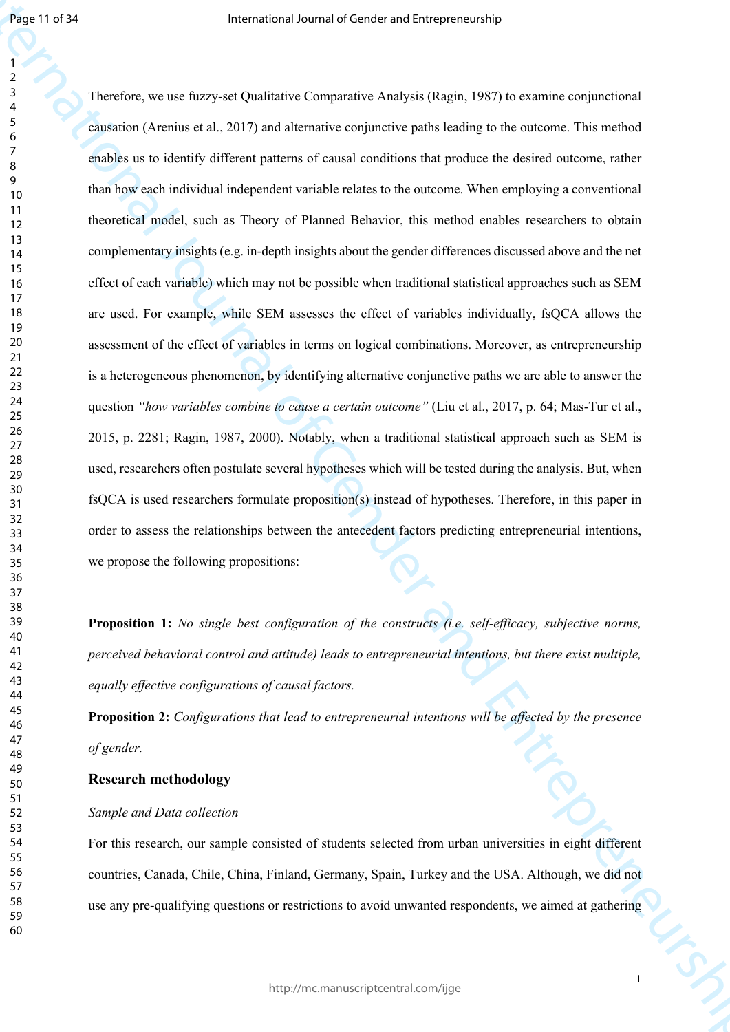Figure 1993<br>
Premise and large states of dimension and the premise of the Company of General original original original original American Company of General American Constraints of General American Constraints of General Therefore, we use fuzzy-set Qualitative Comparative Analysis (Ragin, 1987) to examine conjunctional causation (Arenius et al., 2017) and alternative conjunctive paths leading to the outcome. This method enables us to identify different patterns of causal conditions that produce the desired outcome, rather than how each individual independent variable relates to the outcome. When employing a conventional theoretical model, such as Theory of Planned Behavior, this method enables researchers to obtain complementary insights (e.g. in-depth insights about the gender differences discussed above and the net effect of each variable) which may not be possible when traditional statistical approaches such as SEM are used. For example, while SEM assesses the effect of variables individually, fsQCA allows the assessment of the effect of variables in terms on logical combinations. Moreover, as entrepreneurship is a heterogeneous phenomenon, by identifying alternative conjunctive paths we are able to answer the question *"how variables combine to cause a certain outcome"* (Liu et al., 2017, p. 64; Mas-Tur et al., 2015, p. 2281; Ragin, 1987, 2000). Notably, when a traditional statistical approach such as SEM is used, researchers often postulate several hypotheses which will be tested during the analysis. But, when fsQCA is used researchers formulate proposition(s) instead of hypotheses. Therefore, in this paper in order to assess the relationships between the antecedent factors predicting entrepreneurial intentions, we propose the following propositions:

**Proposition 1:** *No single best configuration of the constructs (i.e. self-efficacy, subjective norms, perceived behavioral control and attitude) leads to entrepreneurial intentions, but there exist multiple, equally effective configurations of causal factors.*

**Proposition 2:** *Configurations that lead to entrepreneurial intentions will be affected by the presence of gender.*

## **Research methodology**

## *Sample and Data collection*

For this research, our sample consisted of students selected from urban universities in eight different countries, Canada, Chile, China, Finland, Germany, Spain, Turkey and the USA. Although, we did not use any pre-qualifying questions or restrictions to avoid unwanted respondents, we aimed at gathering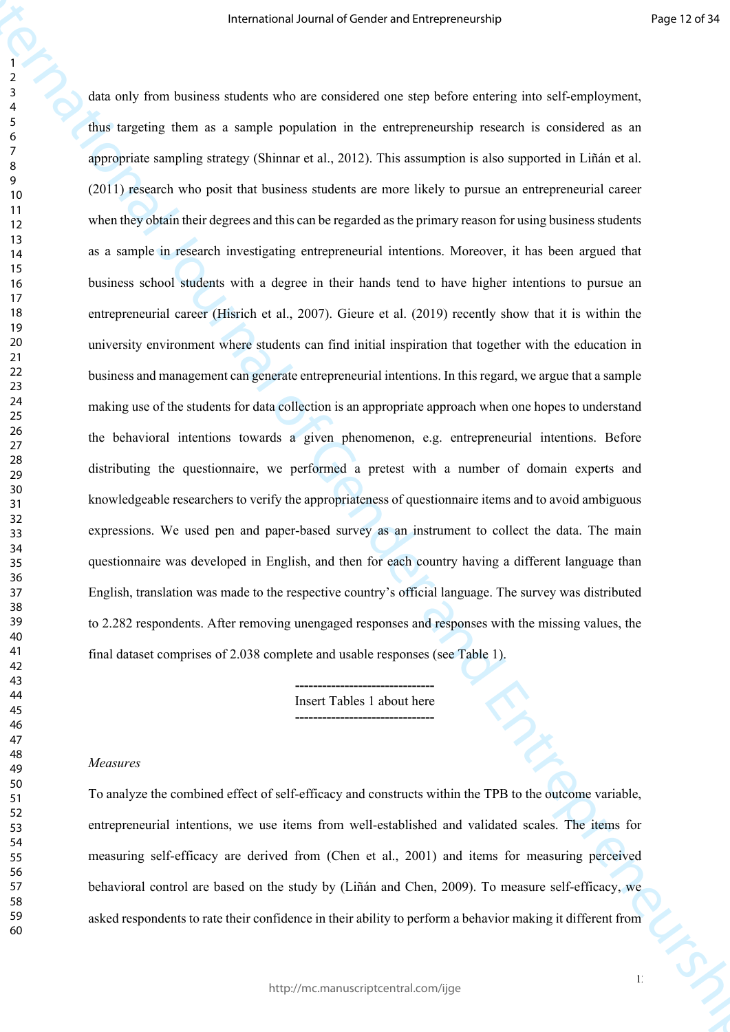Framewood Jeann of Gender and Uniterpreneurs<br>  $\frac{1}{2}$ <br>  $\frac{1}{2}$ <br>  $\frac{1}{2}$ <br>  $\frac{1}{2}$ <br>  $\frac{1}{2}$ <br>  $\frac{1}{2}$ <br>  $\frac{1}{2}$ <br>  $\frac{1}{2}$ <br>  $\frac{1}{2}$ <br>  $\frac{1}{2}$ <br>  $\frac{1}{2}$ <br>  $\frac{1}{2}$ <br>  $\frac{1}{2}$ <br>  $\frac{1}{2}$ <br>  $\frac{1}{2}$ <br>  $\frac{1}{2}$ <br> data only from business students who are considered one step before entering into self-employment, thus targeting them as a sample population in the entrepreneurship research is considered as an appropriate sampling strategy (Shinnar et al., 2012). This assumption is also supported in Liñán et al. (2011) research who posit that business students are more likely to pursue an entrepreneurial career when they obtain their degrees and this can be regarded as the primary reason for using business students as a sample in research investigating entrepreneurial intentions. Moreover, it has been argued that business school students with a degree in their hands tend to have higher intentions to pursue an entrepreneurial career (Hisrich et al., 2007). Gieure et al. (2019) recently show that it is within the university environment where students can find initial inspiration that together with the education in business and management can generate entrepreneurial intentions. In this regard, we argue that a sample making use of the students for data collection is an appropriate approach when one hopes to understand the behavioral intentions towards a given phenomenon, e.g. entrepreneurial intentions. Before distributing the questionnaire, we performed a pretest with a number of domain experts and knowledgeable researchers to verify the appropriateness of questionnaire items and to avoid ambiguous expressions. We used pen and paper-based survey as an instrument to collect the data. The main questionnaire was developed in English, and then for each country having a different language than English, translation was made to the respective country's official language. The survey was distributed to 2.282 respondents. After removing unengaged responses and responses with the missing values, the final dataset comprises of 2.038 complete and usable responses (see Table 1).

**-------------------------------** Insert Tables 1 about here **-------------------------------**

#### *Measures*

To analyze the combined effect of self-efficacy and constructs within the TPB to the outcome variable, entrepreneurial intentions, we use items from well-established and validated scales. The items for measuring self-efficacy are derived from (Chen et al., 2001) and items for measuring perceived behavioral control are based on the study by (Liñán and Chen, 2009). To measure self-efficacy, we asked respondents to rate their confidence in their ability to perform a behavior making it different from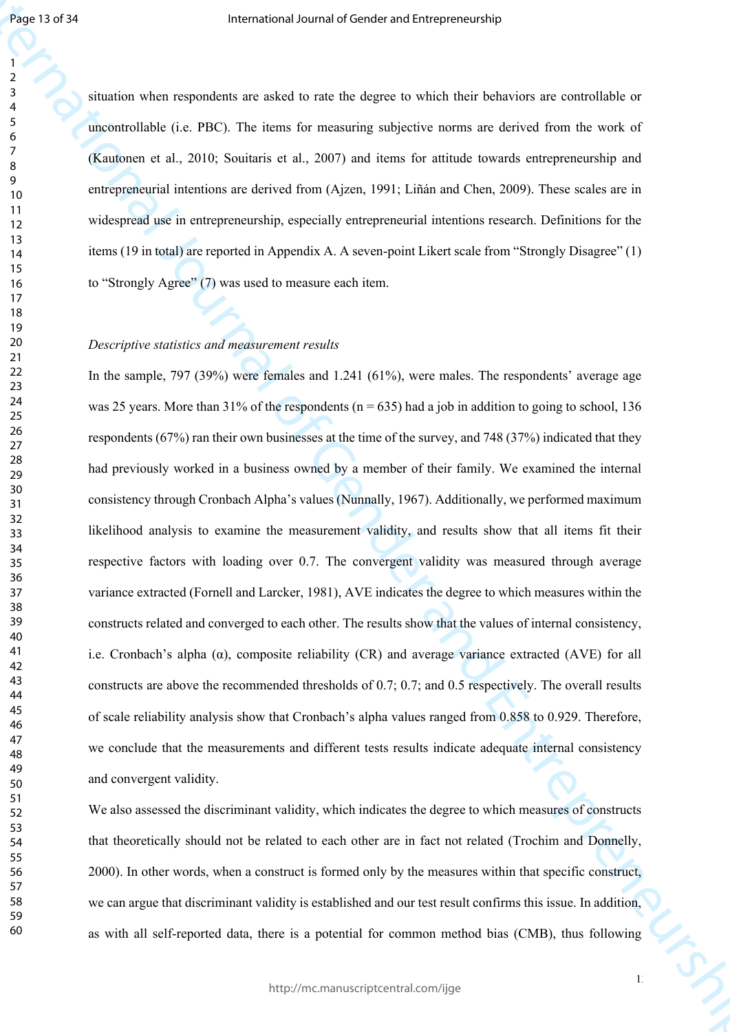situation when respondents are asked to rate the degree to which their behaviors are controllable or uncontrollable (i.e. PBC). The items for measuring subjective norms are derived from the work of (Kautonen et al., 2010; Souitaris et al., 2007) and items for attitude towards entrepreneurship and entrepreneurial intentions are derived from (Ajzen, 1991; Liñán and Chen, 2009). These scales are in widespread use in entrepreneurship, especially entrepreneurial intentions research. Definitions for the items (19 in total) are reported in Appendix A. A seven-point Likert scale from "Strongly Disagree" (1) to "Strongly Agree" (7) was used to measure each item.

### *Descriptive statistics and measurement results*

Figure 1979)<br>
Framewood Journal of the constraints of each system in the constraints are considered as<br>  $\frac{1}{2}$ <br>  $\frac{1}{2}$ <br>
Calculate et al., 2010; The form for examing a solvicity account are considered as a late with In the sample, 797 (39%) were females and 1.241 (61%), were males. The respondents' average age was 25 years. More than 31% of the respondents ( $n = 635$ ) had a job in addition to going to school, 136 respondents (67%) ran their own businesses at the time of the survey, and 748 (37%) indicated that they had previously worked in a business owned by a member of their family. We examined the internal consistency through Cronbach Alpha's values (Nunnally, 1967). Additionally, we performed maximum likelihood analysis to examine the measurement validity, and results show that all items fit their respective factors with loading over 0.7. The convergent validity was measured through average variance extracted (Fornell and Larcker, 1981), AVE indicates the degree to which measures within the constructs related and converged to each other. The results show that the values of internal consistency, i.e. Cronbach's alpha (α), composite reliability (CR) and average variance extracted (AVE) for all constructs are above the recommended thresholds of 0.7; 0.7; and 0.5 respectively. The overall results of scale reliability analysis show that Cronbach's alpha values ranged from 0.858 to 0.929. Therefore, we conclude that the measurements and different tests results indicate adequate internal consistency and convergent validity.

We also assessed the discriminant validity, which indicates the degree to which measures of constructs that theoretically should not be related to each other are in fact not related (Trochim and Donnelly, 2000). In other words, when a construct is formed only by the measures within that specific construct, we can argue that discriminant validity is established and our test result confirms this issue. In addition, as with all self-reported data, there is a potential for common method bias (CMB), thus following

 $1<sup>3</sup>$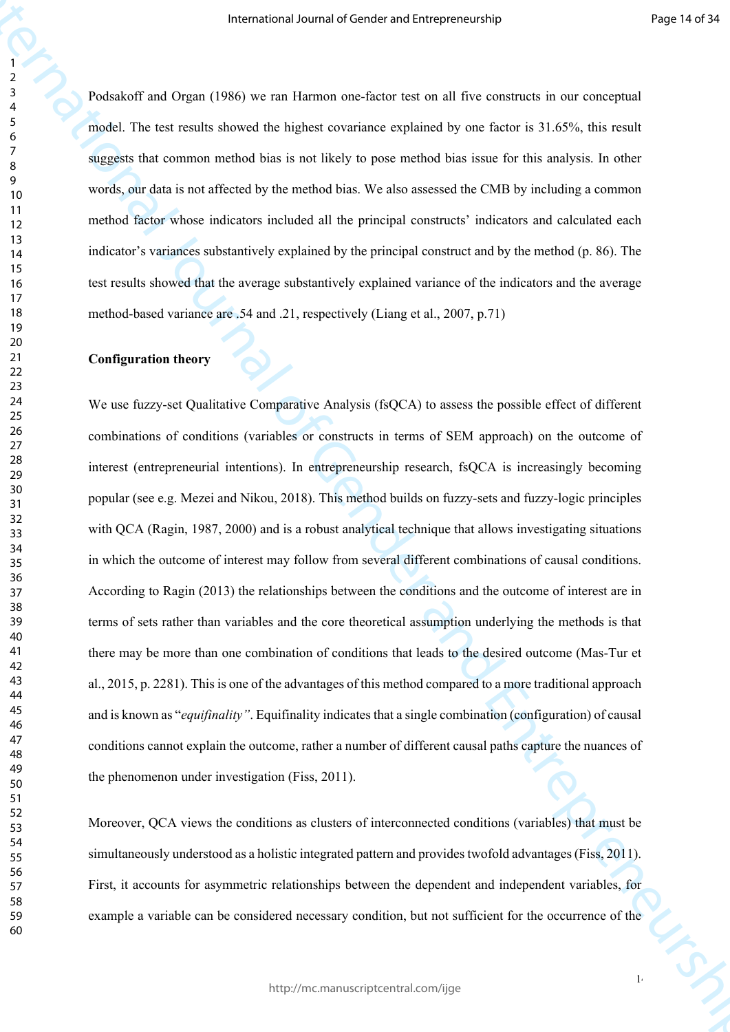Podsakoff and Organ (1986) we ran Harmon one-factor test on all five constructs in our conceptual model. The test results showed the highest covariance explained by one factor is 31.65%, this result suggests that common method bias is not likely to pose method bias issue for this analysis. In other words, our data is not affected by the method bias. We also assessed the CMB by including a common method factor whose indicators included all the principal constructs' indicators and calculated each indicator's variances substantively explained by the principal construct and by the method (p. 86). The test results showed that the average substantively explained variance of the indicators and the average method-based variance are .54 and .21, respectively (Liang et al., 2007, p.71)

## **Configuration theory**

Framewood Jeanna of Gender and Uniterscending<br>
Production and Oxject (1996) we can be<br>annote consider a for General December and Theorem and Theorem and Consider and Consider and<br>
Social The formula Bowell also linked con We use fuzzy-set Qualitative Comparative Analysis (fsQCA) to assess the possible effect of different combinations of conditions (variables or constructs in terms of SEM approach) on the outcome of interest (entrepreneurial intentions). In entrepreneurship research, fsQCA is increasingly becoming popular (see e.g. Mezei and Nikou, 2018). This method builds on fuzzy-sets and fuzzy-logic principles with QCA (Ragin, 1987, 2000) and is a robust analytical technique that allows investigating situations in which the outcome of interest may follow from several different combinations of causal conditions. According to Ragin (2013) the relationships between the conditions and the outcome of interest are in terms of sets rather than variables and the core theoretical assumption underlying the methods is that there may be more than one combination of conditions that leads to the desired outcome (Mas-Tur et al., 2015, p. 2281). This is one of the advantages of this method compared to a more traditional approach and is known as "*equifinality"*. Equifinality indicates that a single combination (configuration) of causal conditions cannot explain the outcome, rather a number of different causal paths capture the nuances of the phenomenon under investigation (Fiss, 2011).

Moreover, QCA views the conditions as clusters of interconnected conditions (variables) that must be simultaneously understood as a holistic integrated pattern and provides twofold advantages (Fiss, 2011). First, it accounts for asymmetric relationships between the dependent and independent variables, for example a variable can be considered necessary condition, but not sufficient for the occurrence of the

 $1<sub>4</sub>$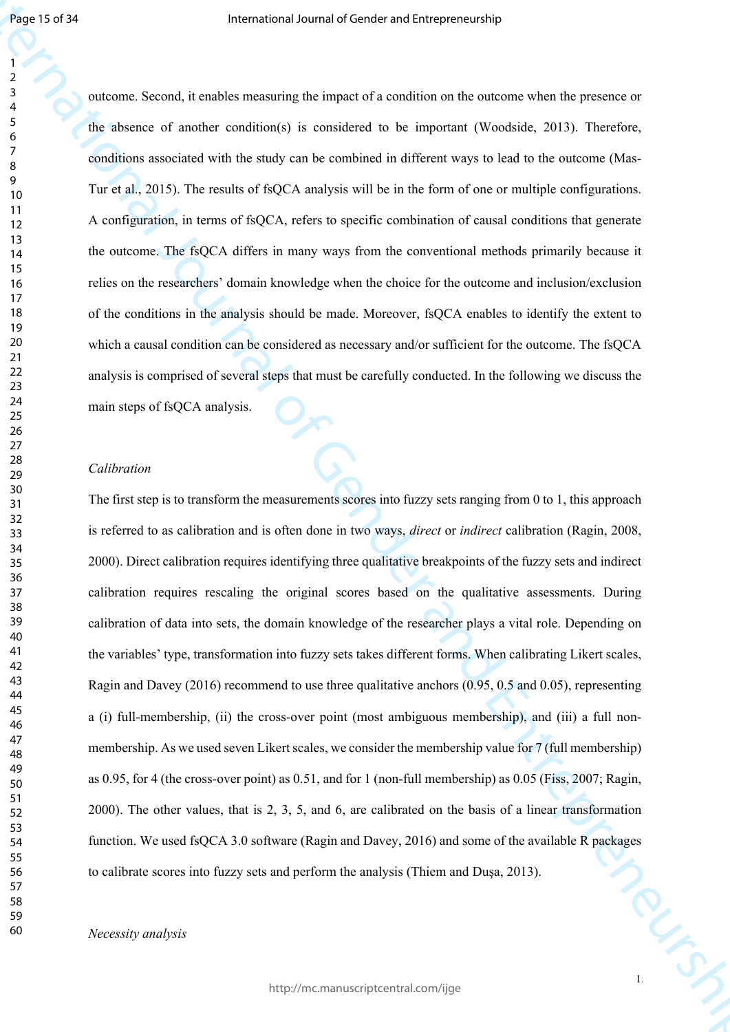outcome. Second, it enables measuring the impact of a condition on the outcome when the presence or the absence of another condition(s) is considered to be important (Woodside, 2013). Therefore, conditions associated with the study can be combined in different ways to lead to the outcome (Mas-Tur et al., 2015). The results of fsQCA analysis will be in the form of one or multiple configurations. A configuration, in terms of fsQCA, refers to specific combination of causal conditions that generate the outcome. The fsQCA differs in many ways from the conventional methods primarily because it relies on the researchers' domain knowledge when the choice for the outcome and inclusion/exclusion of the conditions in the analysis should be made. Moreover, fsQCA enables to identify the extent to which a causal condition can be considered as necessary and/or sufficient for the outcome. The fsQCA analysis is comprised of several steps that must be carefully conducted. In the following we discuss the main steps of fsQCA analysis.

#### *Calibration*

Figure 1979)<br>
The contract of entrepreneurs of Construction of Construction the anticity who interpreneurs of<br>  $\frac{1}{2}$  and the same of and constructed the Construction of General Westfalist, 2011. Therefore,<br>
and Entrep 15/2 The first step is to transform the measurements scores into fuzzy sets ranging from 0 to 1, this approach is referred to as calibration and is often done in two ways, *direct* or *indirect* calibration (Ragin, 2008, 2000). Direct calibration requires identifying three qualitative breakpoints of the fuzzy sets and indirect calibration requires rescaling the original scores based on the qualitative assessments. During calibration of data into sets, the domain knowledge of the researcher plays a vital role. Depending on the variables' type, transformation into fuzzy sets takes different forms. When calibrating Likert scales, Ragin and Davey (2016) recommend to use three qualitative anchors (0.95, 0.5 and 0.05), representing a (i) full-membership, (ii) the cross-over point (most ambiguous membership), and (iii) a full nonmembership. As we used seven Likert scales, we consider the membership value for 7 (full membership) as 0.95, for 4 (the cross-over point) as 0.51, and for 1 (non-full membership) as 0.05 (Fiss, 2007; Ragin, 2000). The other values, that is 2, 3, 5, and 6, are calibrated on the basis of a linear transformation function. We used fsQCA 3.0 software (Ragin and Davey, 2016) and some of the available R packages to calibrate scores into fuzzy sets and perform the analysis (Thiem and Duşa, 2013).

*Necessity analysis*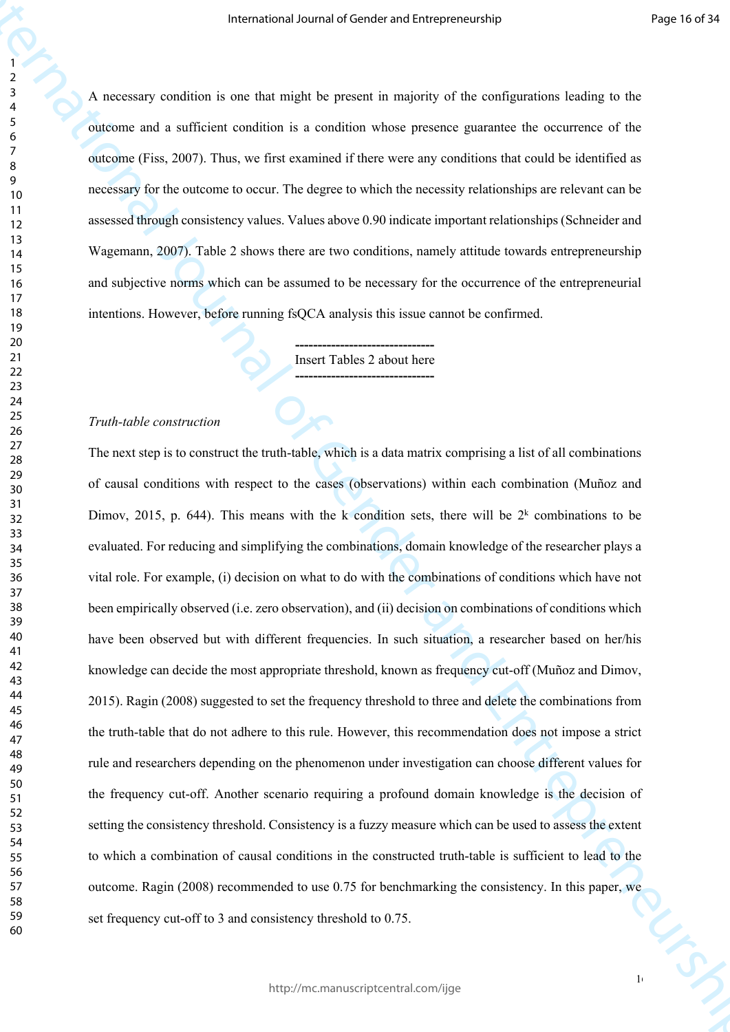A necessary condition is one that might be present in majority of the configurations leading to the outcome and a sufficient condition is a condition whose presence guarantee the occurrence of the outcome (Fiss, 2007). Thus, we first examined if there were any conditions that could be identified as necessary for the outcome to occur. The degree to which the necessity relationships are relevant can be assessed through consistency values. Values above 0.90 indicate important relationships (Schneider and Wagemann, 2007). Table 2 shows there are two conditions, namely attitude towards entrepreneurship and subjective norms which can be assumed to be necessary for the occurrence of the entrepreneurial intentions. However, before running fsQCA analysis this issue cannot be confirmed.

> **-------------------------------** Insert Tables 2 about here **-------------------------------**

#### *Truth-table construction*

Framewood Jeanna of Constantinum (Framewood)<br>
International of General Anti-maple last passion in a consistent where the constantion of the constantinum of the constantinum of the constantinum of Entrepreneurship of the c The next step is to construct the truth-table, which is a data matrix comprising a list of all combinations of causal conditions with respect to the cases (observations) within each combination (Muñoz and Dimov, 2015, p. 644). This means with the k condition sets, there will be  $2<sup>k</sup>$  combinations to be evaluated. For reducing and simplifying the combinations, domain knowledge of the researcher plays a vital role. For example, (i) decision on what to do with the combinations of conditions which have not been empirically observed (i.e. zero observation), and (ii) decision on combinations of conditions which have been observed but with different frequencies. In such situation, a researcher based on her/his knowledge can decide the most appropriate threshold, known as frequency cut-off (Muñoz and Dimov, 2015). Ragin (2008) suggested to set the frequency threshold to three and delete the combinations from the truth-table that do not adhere to this rule. However, this recommendation does not impose a strict rule and researchers depending on the phenomenon under investigation can choose different values for the frequency cut-off. Another scenario requiring a profound domain knowledge is the decision of setting the consistency threshold. Consistency is a fuzzy measure which can be used to assess the extent to which a combination of causal conditions in the constructed truth-table is sufficient to lead to the outcome. Ragin (2008) recommended to use 0.75 for benchmarking the consistency. In this paper, we set frequency cut-off to 3 and consistency threshold to 0.75.

 $1<sub>6</sub>$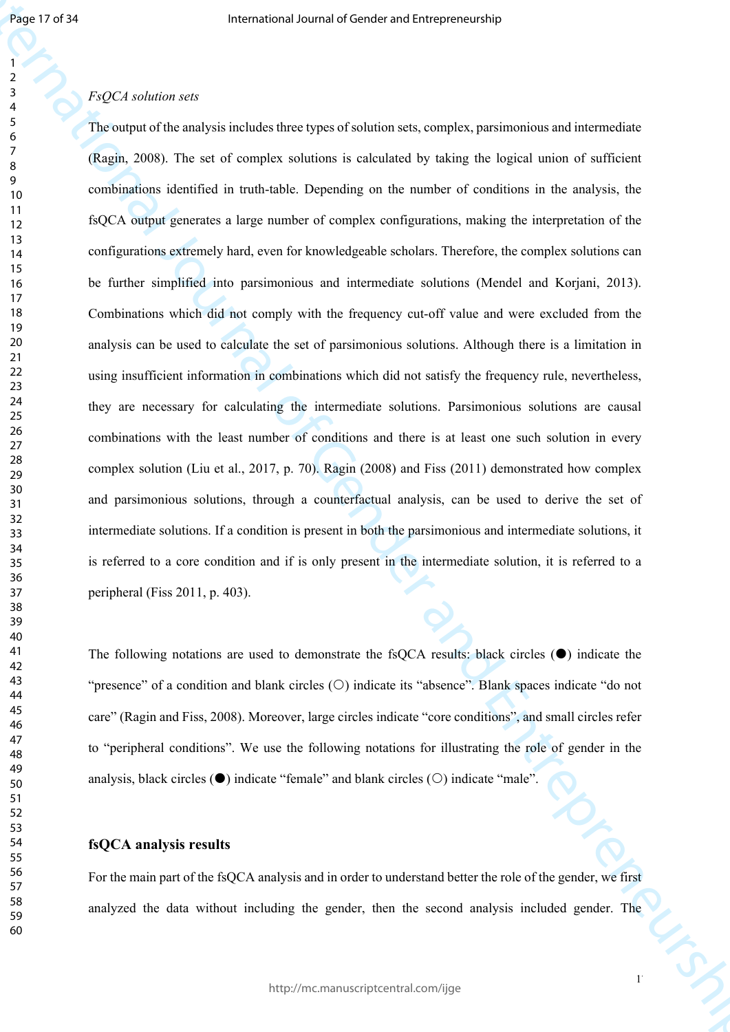## 

## *FsQCA solution sets*

Figure 1979)<br>
Fracture sole<br>
Theoretical statistical density procedure is a complete, parameterism<br>
Theoretical Statistical Constructional of Gender and Entrepreneurship<br>
(Equivalence control of Gender and Entrepreneurshi The output of the analysis includes three types of solution sets, complex, parsimonious and intermediate (Ragin, 2008). The set of complex solutions is calculated by taking the logical union of sufficient combinations identified in truth-table. Depending on the number of conditions in the analysis, the fsQCA output generates a large number of complex configurations, making the interpretation of the configurations extremely hard, even for knowledgeable scholars. Therefore, the complex solutions can be further simplified into parsimonious and intermediate solutions (Mendel and Korjani, 2013). Combinations which did not comply with the frequency cut-off value and were excluded from the analysis can be used to calculate the set of parsimonious solutions. Although there is a limitation in using insufficient information in combinations which did not satisfy the frequency rule, nevertheless, they are necessary for calculating the intermediate solutions. Parsimonious solutions are causal combinations with the least number of conditions and there is at least one such solution in every complex solution (Liu et al., 2017, p. 70). Ragin (2008) and Fiss (2011) demonstrated how complex and parsimonious solutions, through a counterfactual analysis, can be used to derive the set of intermediate solutions. If a condition is present in both the parsimonious and intermediate solutions, it is referred to a core condition and if is only present in the intermediate solution, it is referred to a peripheral (Fiss 2011, p. 403).

The following notations are used to demonstrate the fsOCA results: black circles  $(\bullet)$  indicate the "presence" of a condition and blank circles  $(O)$  indicate its "absence". Blank spaces indicate "do not care" (Ragin and Fiss, 2008). Moreover, large circles indicate "core conditions", and small circles refer to "peripheral conditions". We use the following notations for illustrating the role of gender in the analysis, black circles  $(\bullet)$  indicate "female" and blank circles  $(\circ)$  indicate "male".

## **fsQCA analysis results**

For the main part of the fsQCA analysis and in order to understand better the role of the gender, we first analyzed the data without including the gender, then the second analysis included gender. The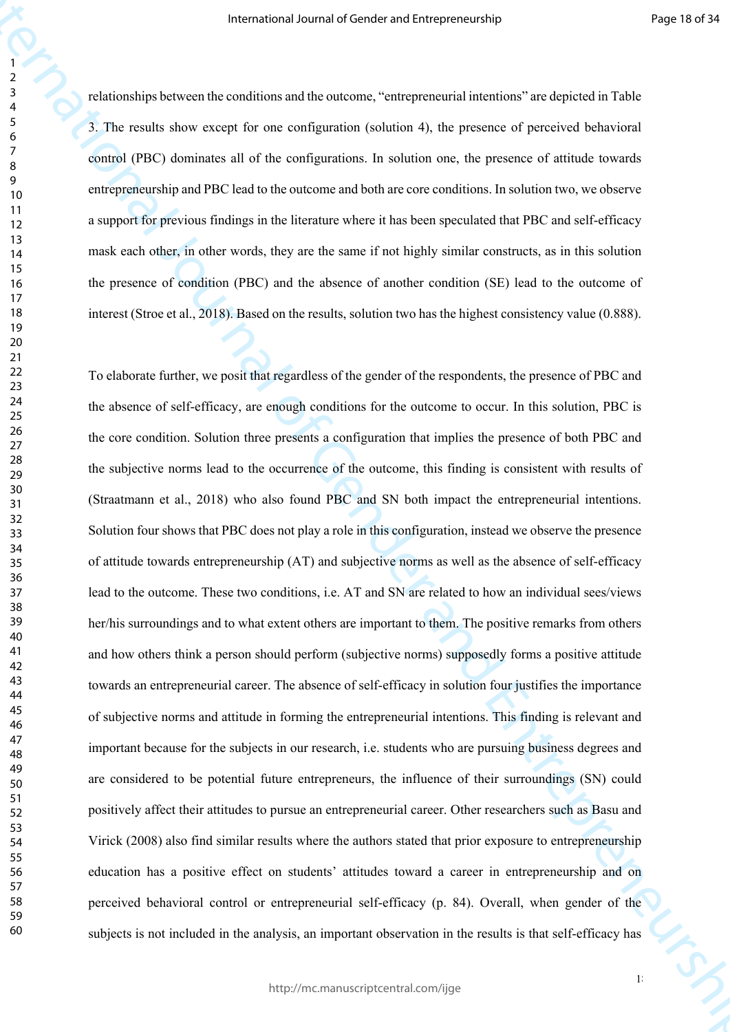relationships between the conditions and the outcome, "entrepreneurial intentions" are depicted in Table 3. The results show except for one configuration (solution 4), the presence of perceived behavioral control (PBC) dominates all of the configurations. In solution one, the presence of attitude towards entrepreneurship and PBC lead to the outcome and both are core conditions. In solution two, we observe a support for previous findings in the literature where it has been speculated that PBC and self-efficacy mask each other, in other words, they are the same if not highly similar constructs, as in this solution the presence of condition (PBC) and the absence of another condition (SE) lead to the outcome of interest (Stroe et al., 2018). Based on the results, solution two has the highest consistency value (0.888).

Framework Jeann of Contentrational tensor (1986). The standard contentrational of General of General of General Anti-<br>
The scalar base waves for our configuration (solid in the presence of processed behavioral<br>  $\frac{1}{2}$  To elaborate further, we posit that regardless of the gender of the respondents, the presence of PBC and the absence of self-efficacy, are enough conditions for the outcome to occur. In this solution, PBC is the core condition. Solution three presents a configuration that implies the presence of both PBC and the subjective norms lead to the occurrence of the outcome, this finding is consistent with results of (Straatmann et al., 2018) who also found PBC and SN both impact the entrepreneurial intentions. Solution four shows that PBC does not play a role in this configuration, instead we observe the presence of attitude towards entrepreneurship (AT) and subjective norms as well as the absence of self-efficacy lead to the outcome. These two conditions, i.e. AT and SN are related to how an individual sees/views her/his surroundings and to what extent others are important to them. The positive remarks from others and how others think a person should perform (subjective norms) supposedly forms a positive attitude towards an entrepreneurial career. The absence of self-efficacy in solution four justifies the importance of subjective norms and attitude in forming the entrepreneurial intentions. This finding is relevant and important because for the subjects in our research, i.e. students who are pursuing business degrees and are considered to be potential future entrepreneurs, the influence of their surroundings (SN) could positively affect their attitudes to pursue an entrepreneurial career. Other researchers such as Basu and Virick (2008) also find similar results where the authors stated that prior exposure to entrepreneurship education has a positive effect on students' attitudes toward a career in entrepreneurship and on perceived behavioral control or entrepreneurial self-efficacy (p. 84). Overall, when gender of the subjects is not included in the analysis, an important observation in the results is that self-efficacy has

 $1<sup>°</sup>$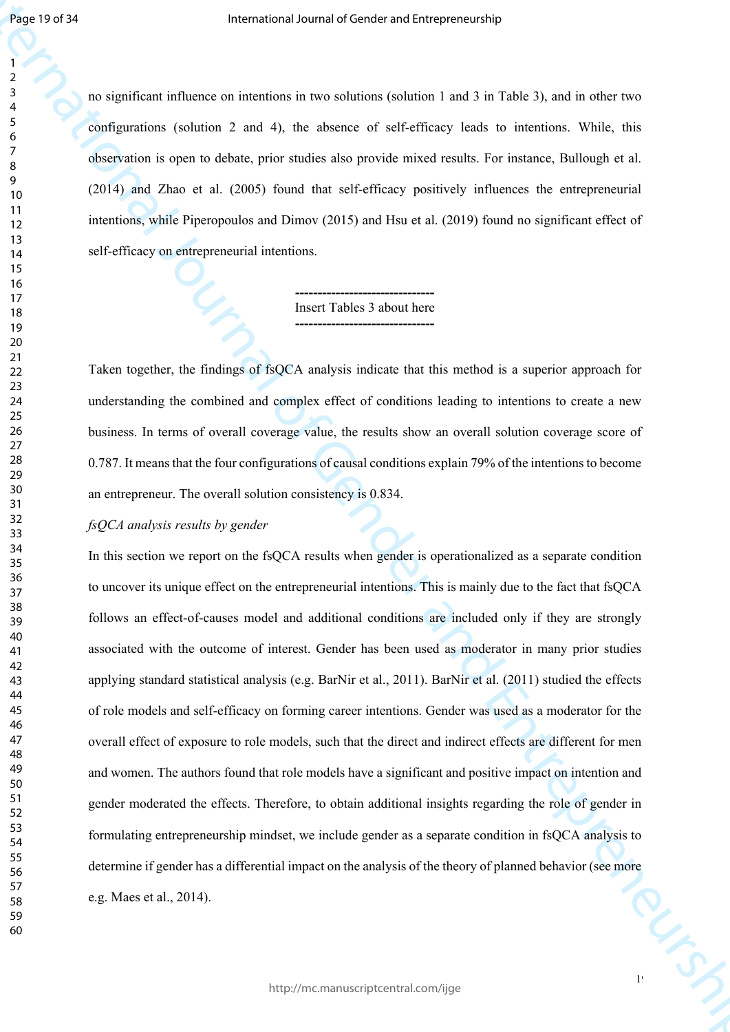no significant influence on intentions in two solutions (solution 1 and 3 in Table 3), and in other two configurations (solution 2 and 4), the absence of self-efficacy leads to intentions. While, this observation is open to debate, prior studies also provide mixed results. For instance, Bullough et al. (2014) and Zhao et al. (2005) found that self-efficacy positively influences the entrepreneurial intentions, while Piperopoulos and Dimov (2015) and Hsu et al. (2019) found no significant effect of self-efficacy on entrepreneurial intentions.

> **-------------------------------** Insert Tables 3 about here **-------------------------------**

Taken together, the findings of fsQCA analysis indicate that this method is a superior approach for understanding the combined and complex effect of conditions leading to intentions to create a new business. In terms of overall coverage value, the results show an overall solution coverage score of 0.787. It means that the four configurations of causal conditions explain 79% of the intentions to become an entrepreneur. The overall solution consistency is 0.834.

## *fsQCA analysis results by gender*

**First 1975**<br>
Fractional of Gender and Entre considered and the state of Gender and Entrepreneurship<br>  $\frac{1}{2}$  computational function is a matrix of Gender and Entre Real to B internation Solution<br>
Solutions in open to k In this section we report on the fsQCA results when gender is operationalized as a separate condition to uncover its unique effect on the entrepreneurial intentions. This is mainly due to the fact that fsQCA follows an effect-of-causes model and additional conditions are included only if they are strongly associated with the outcome of interest. Gender has been used as moderator in many prior studies applying standard statistical analysis (e.g. BarNir et al., 2011). BarNir et al. (2011) studied the effects of role models and self-efficacy on forming career intentions. Gender was used as a moderator for the overall effect of exposure to role models, such that the direct and indirect effects are different for men and women. The authors found that role models have a significant and positive impact on intention and gender moderated the effects. Therefore, to obtain additional insights regarding the role of gender in formulating entrepreneurship mindset, we include gender as a separate condition in fsQCA analysis to determine if gender has a differential impact on the analysis of the theory of planned behavior (see more e.g. Maes et al., 2014).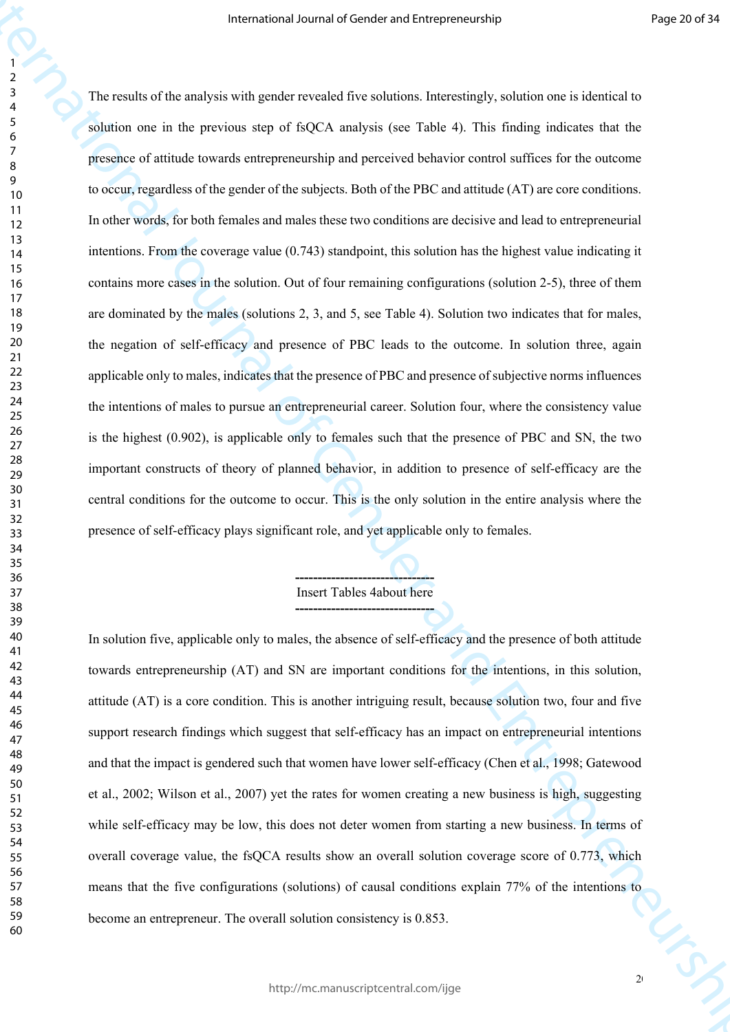Framewood Jeanna of Construction (Framewood)<br>
The conductional space in the profile of GeO. A matching to the first first final matching in the construction<br>
Samina can be depressed in the profile of GeO. Analysis can be The results of the analysis with gender revealed five solutions. Interestingly, solution one is identical to solution one in the previous step of fsQCA analysis (see Table 4). This finding indicates that the presence of attitude towards entrepreneurship and perceived behavior control suffices for the outcome to occur, regardless of the gender of the subjects. Both of the PBC and attitude (AT) are core conditions. In other words, for both females and males these two conditions are decisive and lead to entrepreneurial intentions. From the coverage value (0.743) standpoint, this solution has the highest value indicating it contains more cases in the solution. Out of four remaining configurations (solution 2-5), three of them are dominated by the males (solutions 2, 3, and 5, see Table 4). Solution two indicates that for males, the negation of self-efficacy and presence of PBC leads to the outcome. In solution three, again applicable only to males, indicates that the presence of PBC and presence of subjective norms influences the intentions of males to pursue an entrepreneurial career. Solution four, where the consistency value is the highest (0.902), is applicable only to females such that the presence of PBC and SN, the two important constructs of theory of planned behavior, in addition to presence of self-efficacy are the central conditions for the outcome to occur. This is the only solution in the entire analysis where the presence of self-efficacy plays significant role, and yet applicable only to females.

## **-------------------------------** Insert Tables 4about here **-------------------------------**

In solution five, applicable only to males, the absence of self-efficacy and the presence of both attitude towards entrepreneurship (AT) and SN are important conditions for the intentions, in this solution, attitude (AT) is a core condition. This is another intriguing result, because solution two, four and five support research findings which suggest that self-efficacy has an impact on entrepreneurial intentions and that the impact is gendered such that women have lower self-efficacy (Chen et al., 1998; Gatewood et al., 2002; Wilson et al., 2007) yet the rates for women creating a new business is high, suggesting while self-efficacy may be low, this does not deter women from starting a new business. In terms of overall coverage value, the fsQCA results show an overall solution coverage score of 0.773, which means that the five configurations (solutions) of causal conditions explain 77% of the intentions to become an entrepreneur. The overall solution consistency is 0.853.

 $2<sub>0</sub>$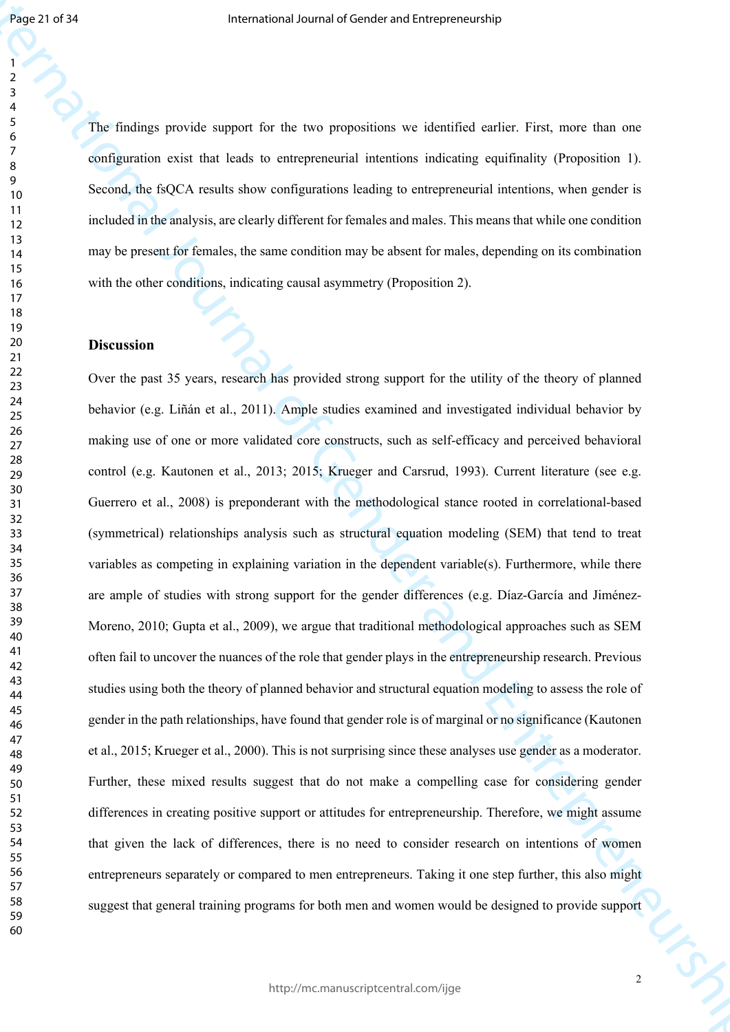The findings provide support for the two propositions we identified earlier. First, more than one configuration exist that leads to entrepreneurial intentions indicating equifinality (Proposition 1). Second, the fsQCA results show configurations leading to entrepreneurial intentions, when gender is included in the analysis, are clearly different for females and males. This means that while one condition may be present for females, the same condition may be absent for males, depending on its combination with the other conditions, indicating causal asymmetry (Proposition 2).

## **Discussion**

Figure 27.27<br>
The findings provide appears of the two exeptitions we identified scaling Figure into any<br>  $\frac{1}{2}$  configured exist that has it is one<br>provide appears for the two experiments international or structure int Over the past 35 years, research has provided strong support for the utility of the theory of planned behavior (e.g. Liñán et al., 2011). Ample studies examined and investigated individual behavior by making use of one or more validated core constructs, such as self-efficacy and perceived behavioral control (e.g. Kautonen et al., 2013; 2015; Krueger and Carsrud, 1993). Current literature (see e.g. Guerrero et al., 2008) is preponderant with the methodological stance rooted in correlational-based (symmetrical) relationships analysis such as structural equation modeling (SEM) that tend to treat variables as competing in explaining variation in the dependent variable(s). Furthermore, while there are ample of studies with strong support for the gender differences (e.g. Díaz-García and Jiménez-Moreno, 2010; Gupta et al., 2009), we argue that traditional methodological approaches such as SEM often fail to uncover the nuances of the role that gender plays in the entrepreneurship research. Previous studies using both the theory of planned behavior and structural equation modeling to assess the role of gender in the path relationships, have found that gender role is of marginal or no significance (Kautonen et al., 2015; Krueger et al., 2000). This is not surprising since these analyses use gender as a moderator. Further, these mixed results suggest that do not make a compelling case for considering gender differences in creating positive support or attitudes for entrepreneurship. Therefore, we might assume that given the lack of differences, there is no need to consider research on intentions of women entrepreneurs separately or compared to men entrepreneurs. Taking it one step further, this also might suggest that general training programs for both men and women would be designed to provide support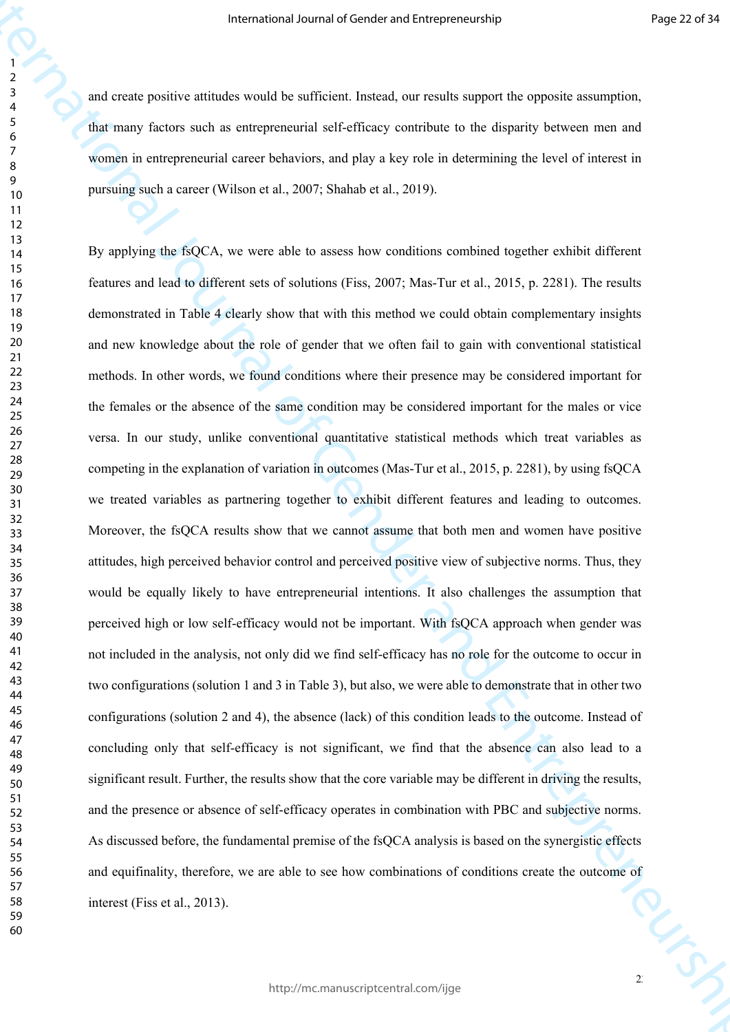and create positive attitudes would be sufficient. Instead, our results support the opposite assumption, that many factors such as entrepreneurial self-efficacy contribute to the disparity between men and women in entrepreneurial career behaviors, and play a key role in determining the level of interest in pursuing such a career (Wilson et al., 2007; Shahab et al., 2019).

Framewood Jeanna of Constant when the system of Framewood Particles (and the constraint of expression commutation)<br>
And there free and and the construction and the constraints on the figure in the system can explice the c By applying the fsQCA, we were able to assess how conditions combined together exhibit different features and lead to different sets of solutions (Fiss, 2007; Mas-Tur et al., 2015, p. 2281). The results demonstrated in Table 4 clearly show that with this method we could obtain complementary insights and new knowledge about the role of gender that we often fail to gain with conventional statistical methods. In other words, we found conditions where their presence may be considered important for the females or the absence of the same condition may be considered important for the males or vice versa. In our study, unlike conventional quantitative statistical methods which treat variables as competing in the explanation of variation in outcomes (Mas-Tur et al., 2015, p. 2281), by using fsQCA we treated variables as partnering together to exhibit different features and leading to outcomes. Moreover, the fsQCA results show that we cannot assume that both men and women have positive attitudes, high perceived behavior control and perceived positive view of subjective norms. Thus, they would be equally likely to have entrepreneurial intentions. It also challenges the assumption that perceived high or low self-efficacy would not be important. With fsQCA approach when gender was not included in the analysis, not only did we find self-efficacy has no role for the outcome to occur in two configurations (solution 1 and 3 in Table 3), but also, we were able to demonstrate that in other two configurations (solution 2 and 4), the absence (lack) of this condition leads to the outcome. Instead of concluding only that self-efficacy is not significant, we find that the absence can also lead to a significant result. Further, the results show that the core variable may be different in driving the results, and the presence or absence of self-efficacy operates in combination with PBC and subjective norms. As discussed before, the fundamental premise of the fsQCA analysis is based on the synergistic effects and equifinality, therefore, we are able to see how combinations of conditions create the outcome of interest (Fiss et al., 2013).

 $2^{\circ}$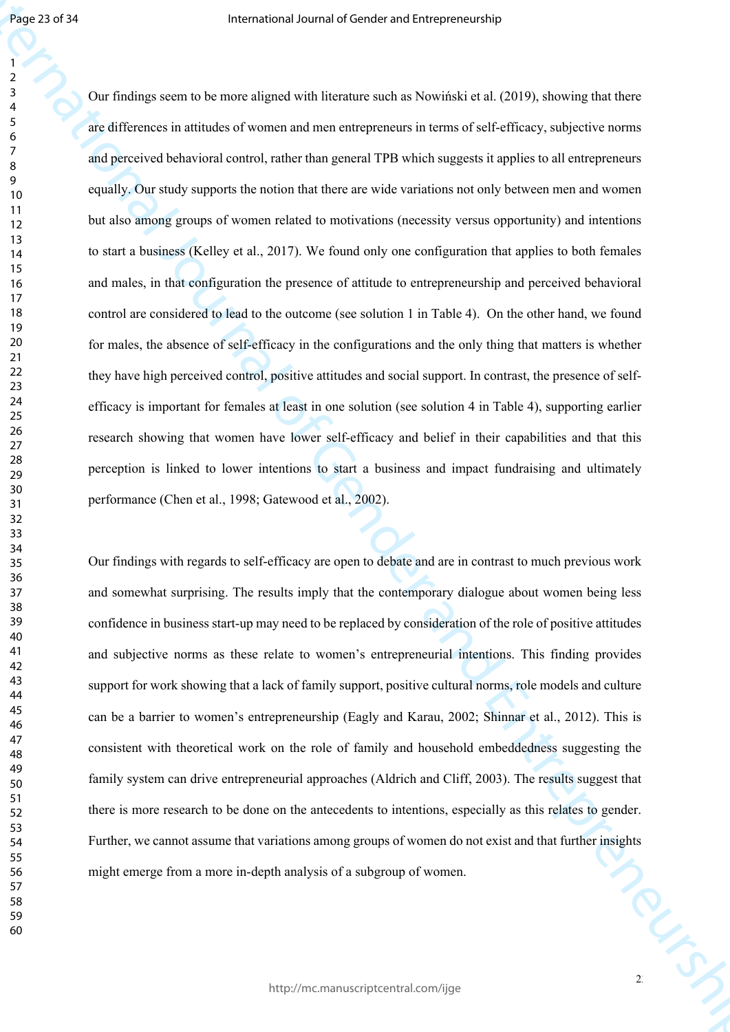**Figure 2017**<br>
The Leveng went is the recent papel of the theorem such as Now this case of 100 g, showing the theorem<br> **A** distinctional is situate of communant and compression is terms of eld of these, and<br>isotroscurs an Our findings seem to be more aligned with literature such as Nowiński et al. (2019), showing that there are differences in attitudes of women and men entrepreneurs in terms of self-efficacy, subjective norms and perceived behavioral control, rather than general TPB which suggests it applies to all entrepreneurs equally. Our study supports the notion that there are wide variations not only between men and women but also among groups of women related to motivations (necessity versus opportunity) and intentions to start a business (Kelley et al., 2017). We found only one configuration that applies to both females and males, in that configuration the presence of attitude to entrepreneurship and perceived behavioral control are considered to lead to the outcome (see solution 1 in Table 4). On the other hand, we found for males, the absence of self-efficacy in the configurations and the only thing that matters is whether they have high perceived control, positive attitudes and social support. In contrast, the presence of selfefficacy is important for females at least in one solution (see solution 4 in Table 4), supporting earlier research showing that women have lower self-efficacy and belief in their capabilities and that this perception is linked to lower intentions to start a business and impact fundraising and ultimately performance (Chen et al., 1998; Gatewood et al., 2002).

TON TON Our findings with regards to self-efficacy are open to debate and are in contrast to much previous work and somewhat surprising. The results imply that the contemporary dialogue about women being less confidence in business start-up may need to be replaced by consideration of the role of positive attitudes and subjective norms as these relate to women's entrepreneurial intentions. This finding provides support for work showing that a lack of family support, positive cultural norms, role models and culture can be a barrier to women's entrepreneurship (Eagly and Karau, 2002; Shinnar et al., 2012). This is consistent with theoretical work on the role of family and household embeddedness suggesting the family system can drive entrepreneurial approaches (Aldrich and Cliff, 2003). The results suggest that there is more research to be done on the antecedents to intentions, especially as this relates to gender. Further, we cannot assume that variations among groups of women do not exist and that further insights might emerge from a more in-depth analysis of a subgroup of women.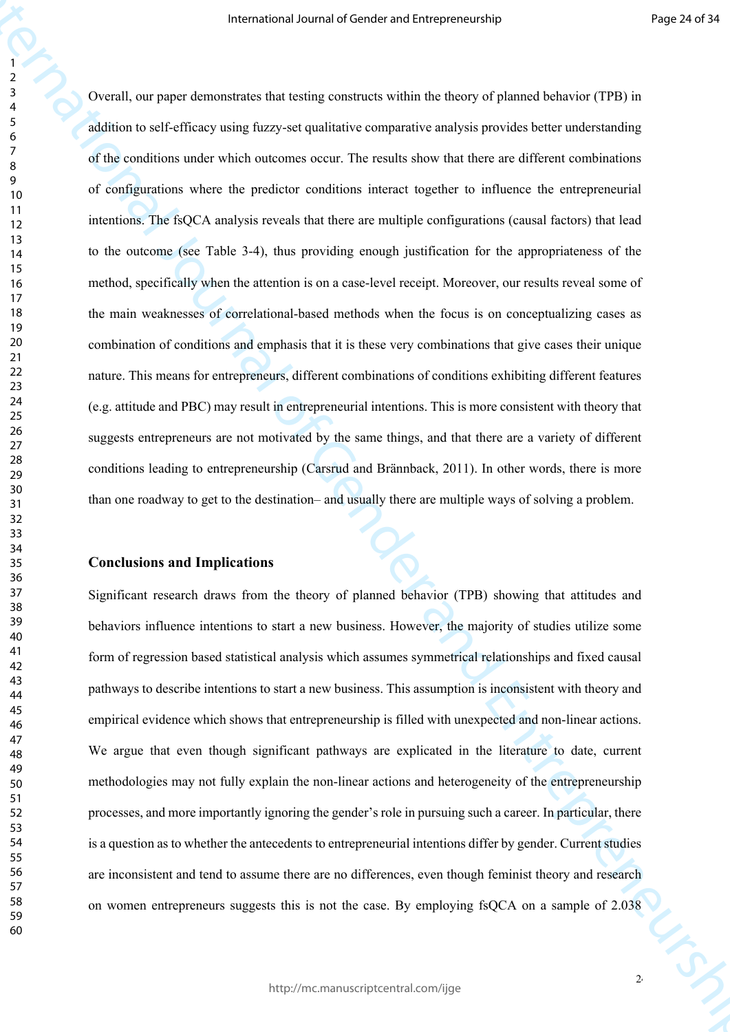Framewood Jeann of Lender and International Constraints (First) -<br>
International of General Alexandre and International Constraints (Figure 2)<br>
(General Alexandre and Entrepreneurs covered and International of General Con Overall, our paper demonstrates that testing constructs within the theory of planned behavior (TPB) in addition to self-efficacy using fuzzy-set qualitative comparative analysis provides better understanding of the conditions under which outcomes occur. The results show that there are different combinations of configurations where the predictor conditions interact together to influence the entrepreneurial intentions. The fsQCA analysis reveals that there are multiple configurations (causal factors) that lead to the outcome (see Table 3-4), thus providing enough justification for the appropriateness of the method, specifically when the attention is on a case-level receipt. Moreover, our results reveal some of the main weaknesses of correlational-based methods when the focus is on conceptualizing cases as combination of conditions and emphasis that it is these very combinations that give cases their unique nature. This means for entrepreneurs, different combinations of conditions exhibiting different features (e.g. attitude and PBC) may result in entrepreneurial intentions. This is more consistent with theory that suggests entrepreneurs are not motivated by the same things, and that there are a variety of different conditions leading to entrepreneurship (Carsrud and Brännback, 2011). In other words, there is more than one roadway to get to the destination– and usually there are multiple ways of solving a problem.

#### **Conclusions and Implications**

Significant research draws from the theory of planned behavior (TPB) showing that attitudes and behaviors influence intentions to start a new business. However, the majority of studies utilize some form of regression based statistical analysis which assumes symmetrical relationships and fixed causal pathways to describe intentions to start a new business. This assumption is inconsistent with theory and empirical evidence which shows that entrepreneurship is filled with unexpected and non-linear actions. We argue that even though significant pathways are explicated in the literature to date, current methodologies may not fully explain the non-linear actions and heterogeneity of the entrepreneurship processes, and more importantly ignoring the gender's role in pursuing such a career. In particular, there is a question as to whether the antecedents to entrepreneurial intentions differ by gender. Current studies are inconsistent and tend to assume there are no differences, even though feminist theory and research on women entrepreneurs suggests this is not the case. By employing fsQCA on a sample of 2.038

 

http://mc.manuscriptcentral.com/ijge

 $2^{4}$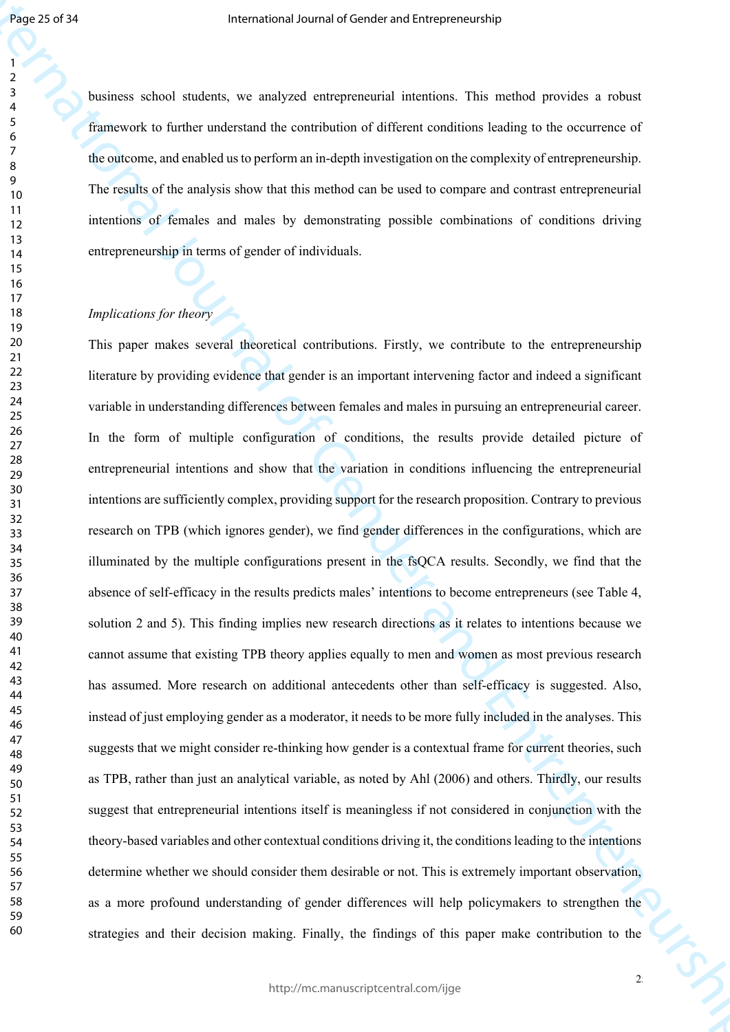business school students, we analyzed entrepreneurial intentions. This method provides a robust framework to further understand the contribution of different conditions leading to the occurrence of the outcome, and enabled us to perform an in-depth investigation on the complexity of entrepreneurship. The results of the analysis show that this method can be used to compare and contrast entrepreneurial intentions of females and males by demonstrating possible combinations of conditions driving entrepreneurship in terms of gender of individuals.

## *Implications for theory*

Figure 2017<br>
Framework which shortest we realized orientation therefore this reduction of Construction ( $\theta$ ) is a more proportional of General of General of General orientation of General Section Constraints of General S This paper makes several theoretical contributions. Firstly, we contribute to the entrepreneurship literature by providing evidence that gender is an important intervening factor and indeed a significant variable in understanding differences between females and males in pursuing an entrepreneurial career. In the form of multiple configuration of conditions, the results provide detailed picture of entrepreneurial intentions and show that the variation in conditions influencing the entrepreneurial intentions are sufficiently complex, providing support for the research proposition. Contrary to previous research on TPB (which ignores gender), we find gender differences in the configurations, which are illuminated by the multiple configurations present in the fsQCA results. Secondly, we find that the absence of self-efficacy in the results predicts males' intentions to become entrepreneurs (see Table 4, solution 2 and 5). This finding implies new research directions as it relates to intentions because we cannot assume that existing TPB theory applies equally to men and women as most previous research has assumed. More research on additional antecedents other than self-efficacy is suggested. Also, instead of just employing gender as a moderator, it needs to be more fully included in the analyses. This suggests that we might consider re-thinking how gender is a contextual frame for current theories, such as TPB, rather than just an analytical variable, as noted by Ahl (2006) and others. Thirdly, our results suggest that entrepreneurial intentions itself is meaningless if not considered in conjunction with the theory-based variables and other contextual conditions driving it, the conditions leading to the intentions determine whether we should consider them desirable or not. This is extremely important observation, as a more profound understanding of gender differences will help policymakers to strengthen the strategies and their decision making. Finally, the findings of this paper make contribution to the

 $2<sup>5</sup>$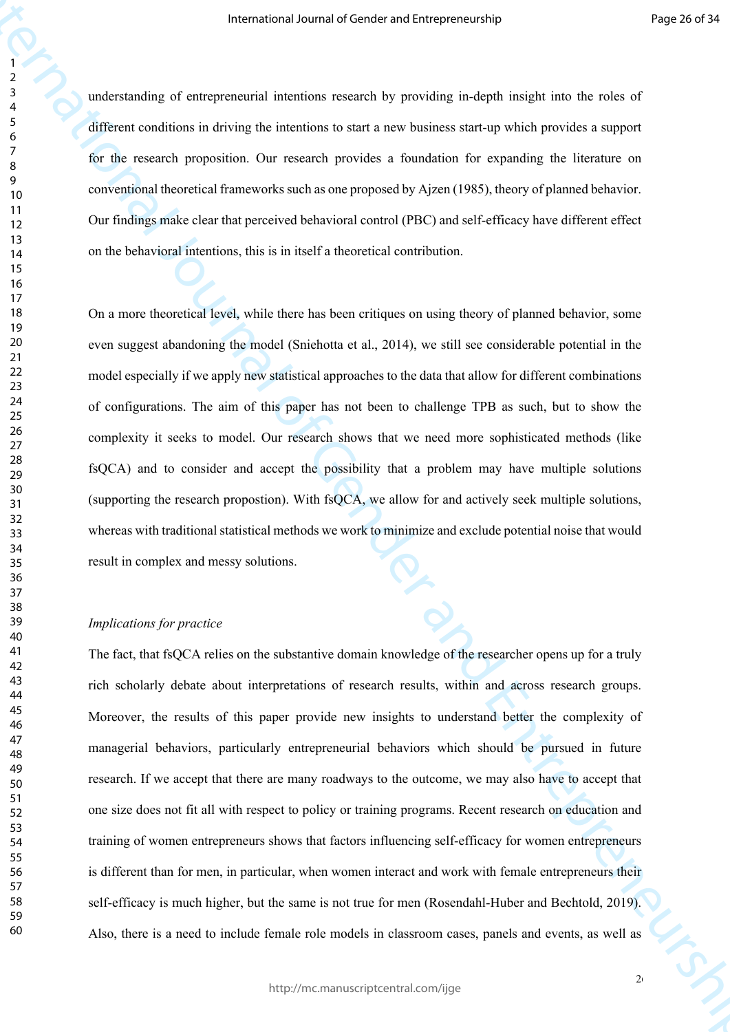understanding of entrepreneurial intentions research by providing in-depth insight into the roles of different conditions in driving the intentions to start a new business start-up which provides a support for the research proposition. Our research provides a foundation for expanding the literature on conventional theoretical frameworks such as one proposed by Ajzen (1985), theory of planned behavior. Our findings make clear that perceived behavioral control (PBC) and self-efficacy have different effect on the behavioral intentions, this is in itself a theoretical contribution.

On a more theoretical level, while there has been critiques on using theory of planned behavior, some even suggest abandoning the model (Sniehotta et al., 2014), we still see considerable potential in the model especially if we apply new statistical approaches to the data that allow for different combinations of configurations. The aim of this paper has not been to challenge TPB as such, but to show the complexity it seeks to model. Our research shows that we need more sophisticated methods (like fsQCA) and to consider and accept the possibility that a problem may have multiple solutions (supporting the research propostion). With fsQCA, we allow for and actively seek multiple solutions, whereas with traditional statistical methods we work to minimize and exclude potential noise that would result in complex and messy solutions.

## *Implications for practice*

Framewood Jeanna of Contents and Universe couple<br>
International of General of General of General of General of General of General of General of General of General organization<br>
International of General provides a function The fact, that fsQCA relies on the substantive domain knowledge of the researcher opens up for a truly rich scholarly debate about interpretations of research results, within and across research groups. Moreover, the results of this paper provide new insights to understand better the complexity of managerial behaviors, particularly entrepreneurial behaviors which should be pursued in future research. If we accept that there are many roadways to the outcome, we may also have to accept that one size does not fit all with respect to policy or training programs. Recent research on education and training of women entrepreneurs shows that factors influencing self-efficacy for women entrepreneurs is different than for men, in particular, when women interact and work with female entrepreneurs their self-efficacy is much higher, but the same is not true for men (Rosendahl-Huber and Bechtold, 2019). Also, there is a need to include female role models in classroom cases, panels and events, as well as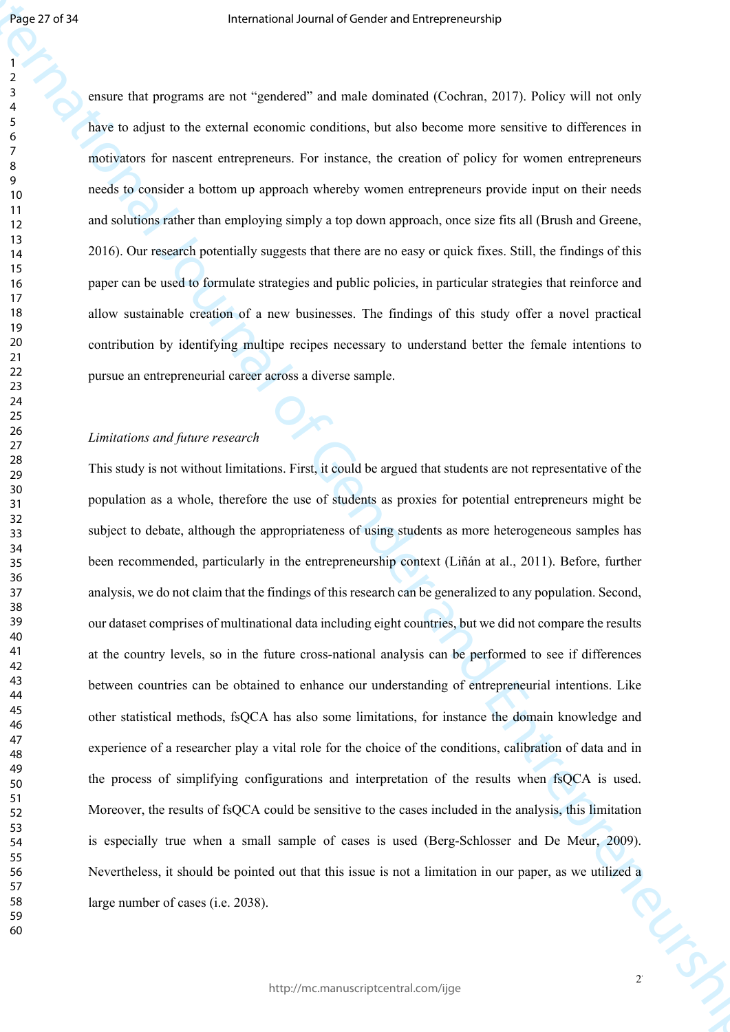ensure that programs are not "gendered" and male dominated (Cochran, 2017). Policy will not only have to adjust to the external economic conditions, but also become more sensitive to differences in motivators for nascent entrepreneurs. For instance, the creation of policy for women entrepreneurs needs to consider a bottom up approach whereby women entrepreneurs provide input on their needs and solutions rather than employing simply a top down approach, once size fits all (Brush and Greene, 2016). Our research potentially suggests that there are no easy or quick fixes. Still, the findings of this paper can be used to formulate strategies and public policies, in particular strategies that reinforce and allow sustainable creation of a new businesses. The findings of this study offer a novel practical contribution by identifying multipe recipes necessary to understand better the female intentions to pursue an entrepreneurial career across a diverse sample.

## *Limitations and future research*

Figure 2017)<br>
The mass that the paper a net of "positional" and also desired and a become more resulting to difference in<br>
Specific solution the content of General orientation, but also become more resulting to difference This study is not without limitations. First, it could be argued that students are not representative of the population as a whole, therefore the use of students as proxies for potential entrepreneurs might be subject to debate, although the appropriateness of using students as more heterogeneous samples has been recommended, particularly in the entrepreneurship context (Liñán at al., 2011). Before, further analysis, we do not claim that the findings of this research can be generalized to any population. Second, our dataset comprises of multinational data including eight countries, but we did not compare the results at the country levels, so in the future cross-national analysis can be performed to see if differences between countries can be obtained to enhance our understanding of entrepreneurial intentions. Like other statistical methods, fsQCA has also some limitations, for instance the domain knowledge and experience of a researcher play a vital role for the choice of the conditions, calibration of data and in the process of simplifying configurations and interpretation of the results when fsQCA is used. Moreover, the results of fsQCA could be sensitive to the cases included in the analysis, this limitation is especially true when a small sample of cases is used (Berg-Schlosser and De Meur, 2009). Nevertheless, it should be pointed out that this issue is not a limitation in our paper, as we utilized a large number of cases (i.e. 2038).

 $2^r$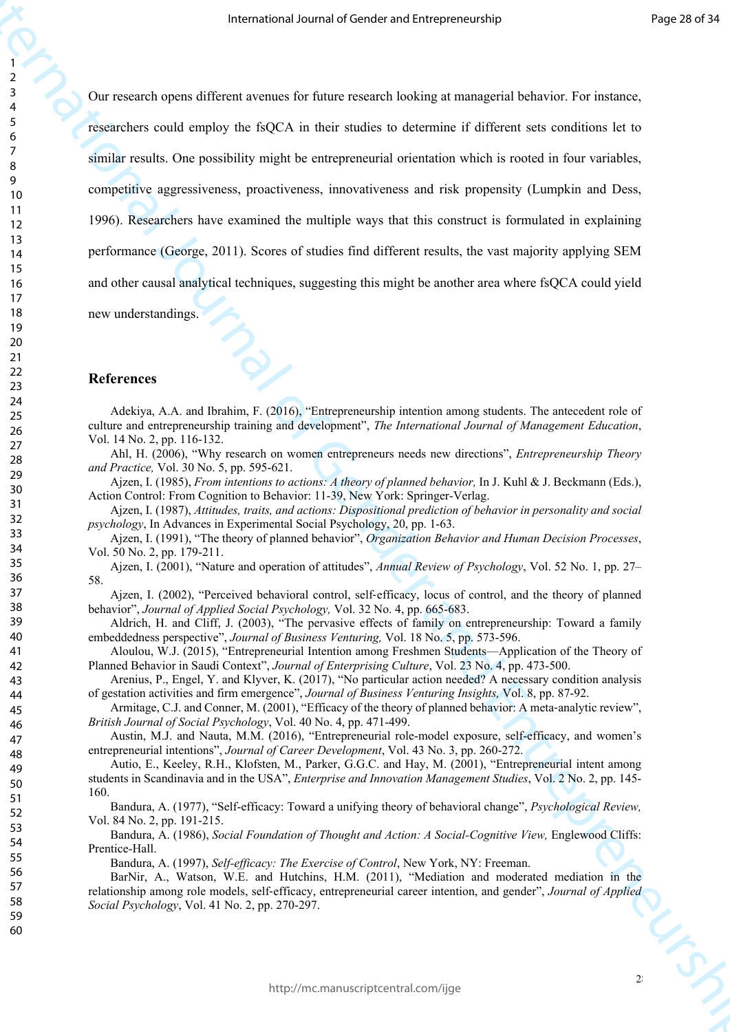Framewood Jesum of Leading techniques properties<br>
The recent of Central Horses and the state in the state of defining the filter of Formulae Construction<br>
The filter metals consider the SOCA in their state is determined i Our research opens different avenues for future research looking at managerial behavior. For instance, researchers could employ the fsQCA in their studies to determine if different sets conditions let to similar results. One possibility might be entrepreneurial orientation which is rooted in four variables, competitive aggressiveness, proactiveness, innovativeness and risk propensity (Lumpkin and Dess, 1996). Researchers have examined the multiple ways that this construct is formulated in explaining performance (George, 2011). Scores of studies find different results, the vast majority applying SEM and other causal analytical techniques, suggesting this might be another area where fsQCA could yield new understandings.

#### **References**

Adekiya, A.A. and Ibrahim, F. (2016), "Entrepreneurship intention among students. The antecedent role of culture and entrepreneurship training and development", *The International Journal of Management Education*, Vol. 14 No. 2, pp. 116-132.

Ahl, H. (2006), "Why research on women entrepreneurs needs new directions", *Entrepreneurship Theory and Practice,* Vol. 30 No. 5, pp. 595-621.

Ajzen, I. (1985), *From intentions to actions: A theory of planned behavior,* In J. Kuhl & J. Beckmann (Eds.), Action Control: From Cognition to Behavior: 11-39, New York: Springer-Verlag.

Ajzen, I. (1987), *Attitudes, traits, and actions: Dispositional prediction of behavior in personality and social psychology*, In Advances in Experimental Social Psychology, 20, pp. 1-63.

Ajzen, I. (1991), "The theory of planned behavior", *Organization Behavior and Human Decision Processes*, Vol. 50 No. 2, pp. 179-211.

Ajzen, I. (2001), "Nature and operation of attitudes", *Annual Review of Psychology*, Vol. 52 No. 1, pp. 27– 58.

Ajzen, I. (2002), "Perceived behavioral control, self-efficacy, locus of control, and the theory of planned behavior", *Journal of Applied Social Psychology,* Vol. 32 No. 4, pp. 665-683.

Aldrich, H. and Cliff, J. (2003), "The pervasive effects of family on entrepreneurship: Toward a family embeddedness perspective", *Journal of Business Venturing,* Vol. 18 No. 5, pp. 573-596.

Aloulou, W.J. (2015), "Entrepreneurial Intention among Freshmen Students—Application of the Theory of Planned Behavior in Saudi Context", *Journal of Enterprising Culture*, Vol. 23 No. 4, pp. 473-500.

Arenius, P., Engel, Y. and Klyver, K. (2017), "No particular action needed? A necessary condition analysis of gestation activities and firm emergence", *Journal of Business Venturing Insights,* Vol. 8, pp. 87-92.

Armitage, C.J. and Conner, M. (2001), "Efficacy of the theory of planned behavior: A meta-analytic review", *British Journal of Social Psychology*, Vol. 40 No. 4, pp. 471-499.

Austin, M.J. and Nauta, M.M. (2016), "Entrepreneurial role-model exposure, self-efficacy, and women's entrepreneurial intentions", *Journal of Career Development*, Vol. 43 No. 3, pp. 260-272.

Autio, E., Keeley, R.H., Klofsten, M., Parker, G.G.C. and Hay, M. (2001), "Entrepreneurial intent among students in Scandinavia and in the USA", *Enterprise and Innovation Management Studies*, Vol. 2 No. 2, pp. 145- 160.

Bandura, A. (1977), "Self-efficacy: Toward a unifying theory of behavioral change", *Psychological Review,*  Vol. 84 No. 2, pp. 191-215.

Bandura, A. (1986), *Social Foundation of Thought and Action: A Social-Cognitive View,* Englewood Cliffs: Prentice-Hall.

Bandura, A. (1997), *Self-efficacy: The Exercise of Control*, New York, NY: Freeman.

BarNir, A., Watson, W.E. and Hutchins, H.M. (2011), "Mediation and moderated mediation in the relationship among role models, self‐efficacy, entrepreneurial career intention, and gender", *Journal of Applied Social Psychology*, Vol. 41 No. 2, pp. 270-297.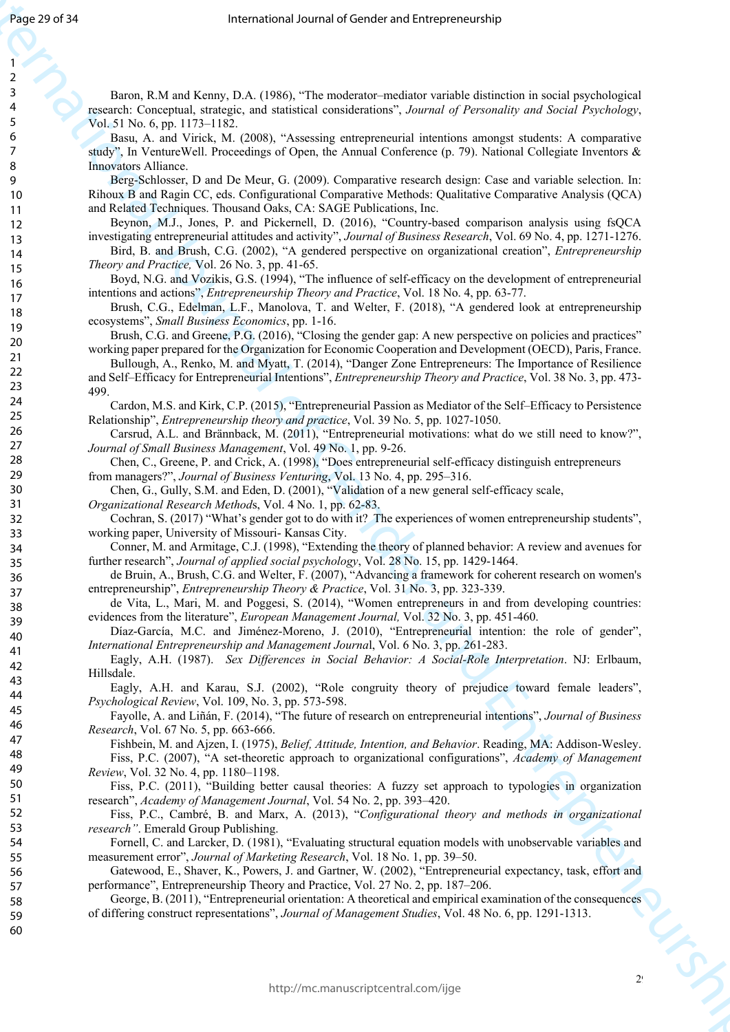International Journal of Gender and Entrepreneurship Baron, R.M and Kenny, D.A. (1986), "The moderator–mediator variable distinction in social psychological research: Conceptual, strategic, and statistical considerations", *Journal of Personality and Social Psychology*, Vol. 51 No. 6, pp. 1173–1182.

Basu, A. and Virick, M. (2008), "Assessing entrepreneurial intentions amongst students: A comparative study", In VentureWell. Proceedings of Open, the Annual Conference (p. 79). National Collegiate Inventors & Innovators Alliance.

Berg-Schlosser, D and De Meur, G. (2009). Comparative research design: Case and variable selection. In: Rihoux B and Ragin CC, eds. Configurational Comparative Methods: Qualitative Comparative Analysis (QCA) and Related Techniques. Thousand Oaks, CA: SAGE Publications, Inc.

Beynon, M.J., Jones, P. and Pickernell, D. (2016), "Country-based comparison analysis using fsQCA investigating entrepreneurial attitudes and activity", *Journal of Business Research*, Vol. 69 No. 4, pp. 1271-1276.

Bird, B. and Brush, C.G. (2002), "A gendered perspective on organizational creation", *Entrepreneurship Theory and Practice,* Vol. 26 No. 3, pp. 41-65.

Boyd, N.G. and Vozikis, G.S. (1994), "The influence of self-efficacy on the development of entrepreneurial intentions and actions", *Entrepreneurship Theory and Practice*, Vol. 18 No. 4, pp. 63-77.

Brush, C.G., Edelman, L.F., Manolova, T. and Welter, F. (2018), "A gendered look at entrepreneurship ecosystems", *Small Business Economics*, pp. 1-16.

Brush, C.G. and Greene, P.G. (2016), "Closing the gender gap: A new perspective on policies and practices" working paper prepared for the Organization for Economic Cooperation and Development (OECD), Paris, France.

Bullough, A., Renko, M. and Myatt, T. (2014), "Danger Zone Entrepreneurs: The Importance of Resilience and Self–Efficacy for Entrepreneurial Intentions", *Entrepreneurship Theory and Practice*, Vol. 38 No. 3, pp. 473- 499.

Cardon, M.S. and Kirk, C.P. (2015), "Entrepreneurial Passion as Mediator of the Self–Efficacy to Persistence Relationship", *Entrepreneurship theory and practice*, Vol. 39 No. 5, pp. 1027-1050.

Carsrud, A.L. and Brännback, M. (2011), "Entrepreneurial motivations: what do we still need to know?", *Journal of Small Business Management*, Vol. 49 No. 1, pp. 9-26.

Chen, C., Greene, P. and Crick, A. (1998), "Does entrepreneurial self-efficacy distinguish entrepreneurs from managers?", *Journal of Business Venturing*, Vol. 13 No. 4, pp. 295–316.

Chen, G., Gully, S.M. and Eden, D. (2001), "Validation of a new general self-efficacy scale,

*Organizational Research Method*s, Vol. 4 No. 1, pp. 62-83.

Cochran, S. (2017) "What's gender got to do with it? The experiences of women entrepreneurship students", working paper, University of Missouri- Kansas City.

Conner, M. and Armitage, C.J. (1998), "Extending the theory of planned behavior: A review and avenues for further research", *Journal of applied social psychology*, Vol. 28 No. 15, pp. 1429-1464.

de Bruin, A., Brush, C.G. and Welter, F. (2007), "Advancing a framework for coherent research on women's entrepreneurship", *Entrepreneurship Theory & Practice*, Vol. 31 No. 3, pp. 323-339.

de Vita, L., Mari, M. and Poggesi, S. (2014), "Women entrepreneurs in and from developing countries: evidences from the literature", *European Management Journal,* Vol. 32 No. 3, pp. 451-460.

Díaz-García, M.C. and Jiménez-Moreno, J. (2010), "Entrepreneurial intention: the role of gender", *International Entrepreneurship and Management Journa*l, Vol. 6 No. 3, pp. 261-283.

Eagly, A.H. (1987). *Sex Differences in Social Behavior: A Social-Role Interpretation*. NJ: Erlbaum, Hillsdale.

Eagly, A.H. and Karau, S.J. (2002), "Role congruity theory of prejudice toward female leaders", *Psychological Review*, Vol. 109, No. 3, pp. 573-598.

Fayolle, A. and Liñán, F. (2014), "The future of research on entrepreneurial intentions", *Journal of Business Research*, Vol. 67 No. 5, pp. 663-666.

Fishbein, M. and Ajzen, I. (1975), *Belief, Attitude, Intention, and Behavior*. Reading, MA: Addison-Wesley.

Fiss, P.C. (2007), "A set-theoretic approach to organizational configurations", *Academy of Management Review*, Vol. 32 No. 4, pp. 1180–1198.

Fiss, P.C. (2011), "Building better causal theories: A fuzzy set approach to typologies in organization research", *Academy of Management Journal*, Vol. 54 No. 2, pp. 393–420.

Fiss, P.C., Cambré, B. and Marx, A. (2013), "*Configurational theory and methods in organizational research"*. Emerald Group Publishing.

Fornell, C. and Larcker, D. (1981), "Evaluating structural equation models with unobservable variables and measurement error", *Journal of Marketing Research*, Vol. 18 No. 1, pp. 39–50.

Gatewood, E., Shaver, K., Powers, J. and Gartner, W. (2002), "Entrepreneurial expectancy, task, effort and performance", Entrepreneurship Theory and Practice, Vol. 27 No. 2, pp. 187–206.

George, B. (2011), "Entrepreneurial orientation: A theoretical and empirical examination of the consequences of differing construct representations", *Journal of Management Studies*, Vol. 48 No. 6, pp. 1291-1313.

 $2<sup>9</sup>$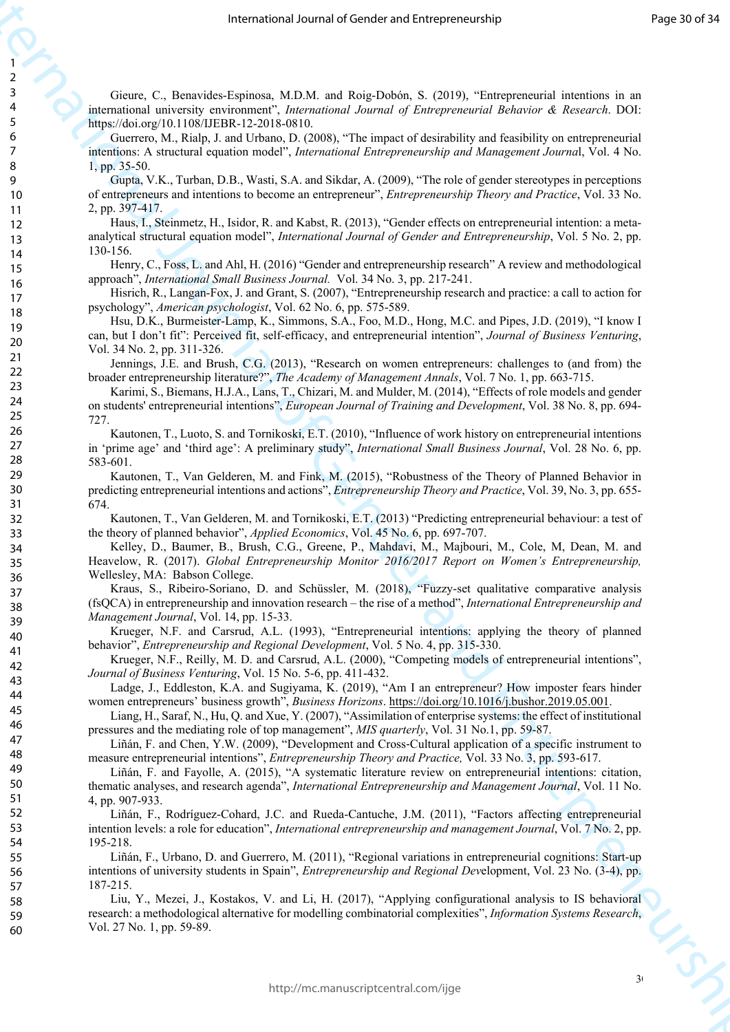Gieure, C., Benavides-Espinosa, M.D.M. and Roig-Dobón, S. (2019), "Entrepreneurial intentions in an international university environment", *International Journal of Entrepreneurial Behavior & Research*. DOI: https://doi.org/10.1108/IJEBR-12-2018-0810.

Guerrero, M., Rialp, J. and Urbano, D. (2008), "The impact of desirability and feasibility on entrepreneurial intentions: A structural equation model", *International Entrepreneurship and Management Journa*l, Vol. 4 No. 1, pp. 35-50.

Gupta, V.K., Turban, D.B., Wasti, S.A. and Sikdar, A. (2009), "The role of gender stereotypes in perceptions of entrepreneurs and intentions to become an entrepreneur", *Entrepreneurship Theory and Practice*, Vol. 33 No. 2, pp. 397-417.

Haus, I., Steinmetz, H., Isidor, R. and Kabst, R. (2013), "Gender effects on entrepreneurial intention: a metaanalytical structural equation model", *International Journal of Gender and Entrepreneurship*, Vol. 5 No. 2, pp. 130-156.

Henry, C., Foss, L. and Ahl, H. (2016) "Gender and entrepreneurship research" A review and methodological approach", *International Small Business Journal.* Vol. 34 No. 3, pp. 217-241.

Hisrich, R., Langan-Fox, J. and Grant, S. (2007), "Entrepreneurship research and practice: a call to action for psychology", *American psychologist*, Vol. 62 No. 6, pp. 575-589.

Hsu, D.K., Burmeister-Lamp, K., Simmons, S.A., Foo, M.D., Hong, M.C. and Pipes, J.D. (2019), "I know I can, but I don't fit": Perceived fit, self-efficacy, and entrepreneurial intention", *Journal of Business Venturing*, Vol. 34 No. 2, pp. 311-326.

Jennings, J.E. and Brush, C.G. (2013), "Research on women entrepreneurs: challenges to (and from) the broader entrepreneurship literature?", *The Academy of Management Annals*, Vol. 7 No. 1, pp. 663-715.

Karimi, S., Biemans, H.J.A., Lans, T., Chizari, M. and Mulder, M. (2014), "Effects of role models and gender on students' entrepreneurial intentions", *European Journal of Training and Development*, Vol. 38 No. 8, pp. 694- 727.

Kautonen, T., Luoto, S. and Tornikoski, E.T. (2010), "Influence of work history on entrepreneurial intentions in 'prime age' and 'third age': A preliminary study", *International Small Business Journal*, Vol. 28 No. 6, pp. 583-601.

Kautonen, T., Van Gelderen, M. and Fink, M. (2015), "Robustness of the Theory of Planned Behavior in predicting entrepreneurial intentions and actions", *Entrepreneurship Theory and Practice*, Vol. 39, No. 3, pp. 655- 674.

Kautonen, T., Van Gelderen, M. and Tornikoski, E.T. (2013) "Predicting entrepreneurial behaviour: a test of the theory of planned behavior", *Applied Economics*, Vol. 45 No. 6, pp. 697-707.

From the the main of the state of the state of the state of the state of the state of the state of the state of the state of the state of the state of the state of the state of the state of the state of the state of the s Kelley, D., Baumer, B., Brush, C.G., Greene, P., Mahdavi, M., Majbouri, M., Cole, M, Dean, M. and Heavelow, R. (2017). *Global Entrepreneurship Monitor 2016/2017 Report on Women's Entrepreneurship,* Wellesley, MA: Babson College.

Kraus, S., Ribeiro-Soriano, D. and Schüssler, M. (2018), "Fuzzy-set qualitative comparative analysis (fsQCA) in entrepreneurship and innovation research – the rise of a method", *International Entrepreneurship and Management Journal*, Vol. 14, pp. 15-33.

Krueger, N.F. and Carsrud, A.L. (1993), "Entrepreneurial intentions: applying the theory of planned behavior", *Entrepreneurship and Regional Development*, Vol. 5 No. 4, pp. 315-330.

Krueger, N.F., Reilly, M. D. and Carsrud, A.L. (2000), "Competing models of entrepreneurial intentions", *Journal of Business Venturing*, Vol. 15 No. 5-6, pp. 411-432.

Ladge, J., Eddleston, K.A. and Sugiyama, K. (2019), "Am I an entrepreneur? How imposter fears hinder women entrepreneurs' business growth", *Business Horizons*. https://doi.org/10.1016/j.bushor.2019.05.001.

Liang, H., Saraf, N., Hu, Q. and Xue, Y. (2007), "Assimilation of enterprise systems: the effect of institutional pressures and the mediating role of top management", *MIS quarterly*, Vol. 31 No.1, pp. 59-87.

Liñán, F. and Chen, Y.W. (2009), "Development and Cross‐Cultural application of a specific instrument to measure entrepreneurial intentions", *Entrepreneurship Theory and Practice,* Vol. 33 No. 3, pp. 593-617.

Liñán, F. and Fayolle, A. (2015), "A systematic literature review on entrepreneurial intentions: citation, thematic analyses, and research agenda", *International Entrepreneurship and Management Journal*, Vol. 11 No. 4, pp. 907-933.

Liñán, F., Rodríguez-Cohard, J.C. and Rueda-Cantuche, J.M. (2011), "Factors affecting entrepreneurial intention levels: a role for education", *International entrepreneurship and management Journal*, Vol. 7 No. 2, pp. 195-218.

Liñán, F., Urbano, D. and Guerrero, M. (2011), "Regional variations in entrepreneurial cognitions: Start-up intentions of university students in Spain", *Entrepreneurship and Regional Dev*elopment, Vol. 23 No. (3-4), pp. 187-215.

Liu, Y., Mezei, J., Kostakos, V. and Li, H. (2017), "Applying configurational analysis to IS behavioral research: a methodological alternative for modelling combinatorial complexities", *Information Systems Research*, Vol. 27 No. 1, pp. 59-89.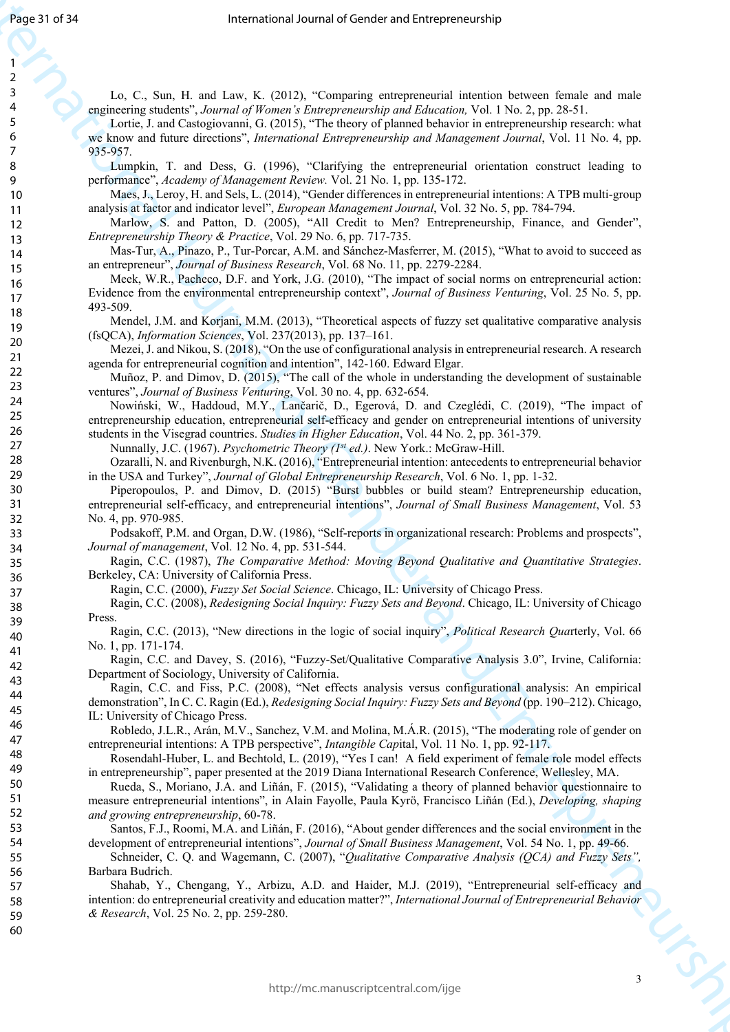Lo, C., Sun, H. and Law, K. (2012), "Comparing entrepreneurial intention between female and male engineering students", *Journal of Women's Entrepreneurship and Education,* Vol. 1 No. 2, pp. 28-51.

Figure 1971<br>
The matrix and the state  $\mu$  (2018). "Solomonic entrapreneurs in<br>the state state state state state state state state state state state state state state state state state state state state state state state Lortie, J. and Castogiovanni, G. (2015), "The theory of planned behavior in entrepreneurship research: what we know and future directions", *International Entrepreneurship and Management Journal*, Vol. 11 No. 4, pp. 935-957.

Lumpkin, T. and Dess, G. (1996), "Clarifying the entrepreneurial orientation construct leading to performance", *Academy of Management Review.* Vol. 21 No. 1, pp. 135-172.

Maes, J., Leroy, H. and Sels, L. (2014), "Gender differences in entrepreneurial intentions: A TPB multi-group analysis at factor and indicator level", *European Management Journal*, Vol. 32 No. 5, pp. 784-794.

Marlow, S. and Patton, D. (2005), "All Credit to Men? Entrepreneurship, Finance, and Gender", *Entrepreneurship Theory & Practice*, Vol. 29 No. 6, pp. 717-735.

Mas-Tur, A., Pinazo, P., Tur-Porcar, A.M. and Sánchez-Masferrer, M. (2015), "What to avoid to succeed as an entrepreneur", *Journal of Business Research*, Vol. 68 No. 11, pp. 2279-2284.

Meek, W.R., Pacheco, D.F. and York, J.G. (2010), "The impact of social norms on entrepreneurial action: Evidence from the environmental entrepreneurship context", *Journal of Business Venturing*, Vol. 25 No. 5, pp. 493-509.

Mendel, J.M. and Korjani, M.M. (2013), "Theoretical aspects of fuzzy set qualitative comparative analysis (fsQCA), *Information Sciences*, Vol. 237(2013), pp. 137–161.

Mezei, J. and Nikou, S. (2018), "On the use of configurational analysis in entrepreneurial research. A research agenda for entrepreneurial cognition and intention", 142-160. Edward Elgar.

Muñoz, P. and Dimov, D. (2015), "The call of the whole in understanding the development of sustainable ventures", *Journal of Business Venturing*, Vol. 30 no. 4, pp. 632-654.

Nowiński, W., Haddoud, M.Y., Lančarič, D., Egerová, D. and Czeglédi, C. (2019), "The impact of entrepreneurship education, entrepreneurial self-efficacy and gender on entrepreneurial intentions of university students in the Visegrad countries. *Studies in Higher Education*, Vol. 44 No. 2, pp. 361-379.

Nunnally, J.C. (1967). *Psychometric Theory (1st ed.)*. New York.: McGraw-Hill.

Ozaralli, N. and Rivenburgh, N.K. (2016), "Entrepreneurial intention: antecedents to entrepreneurial behavior in the USA and Turkey", *Journal of Global Entrepreneurship Research*, Vol. 6 No. 1, pp. 1-32.

Piperopoulos, P. and Dimov, D. (2015) "Burst bubbles or build steam? Entrepreneurship education, entrepreneurial self‐efficacy, and entrepreneurial intentions", *Journal of Small Business Management*, Vol. 53 No. 4, pp. 970-985.

Podsakoff, P.M. and Organ, D.W. (1986), "Self-reports in organizational research: Problems and prospects", *Journal of management*, Vol. 12 No. 4, pp. 531-544.

Ragin, C.C. (1987), *The Comparative Method: Moving Beyond Qualitative and Quantitative Strategies*. Berkeley, CA: University of California Press.

Ragin, C.C. (2000), *Fuzzy Set Social Science*. Chicago, IL: University of Chicago Press.

Ragin, C.C. (2008), *Redesigning Social Inquiry: Fuzzy Sets and Beyond*. Chicago, IL: University of Chicago Press.

Ragin, C.C. (2013), "New directions in the logic of social inquiry", *Political Research Qua*rterly, Vol. 66 No. 1, pp. 171-174.

Ragin, C.C. and Davey, S. (2016), "Fuzzy-Set/Qualitative Comparative Analysis 3.0", Irvine, California: Department of Sociology, University of California.

Ragin, C.C. and Fiss, P.C. (2008), "Net effects analysis versus configurational analysis: An empirical demonstration", In C. C. Ragin (Ed.), *Redesigning Social Inquiry: Fuzzy Sets and Beyond* (pp. 190–212). Chicago, IL: University of Chicago Press.

Robledo, J.L.R., Arán, M.V., Sanchez, V.M. and Molina, M.Á.R. (2015), "The moderating role of gender on entrepreneurial intentions: A TPB perspective", *Intangible Cap*ital, Vol. 11 No. 1, pp. 92-117.

Rosendahl-Huber, L. and Bechtold, L. (2019), "Yes I can! A field experiment of female role model effects in entrepreneurship", paper presented at the 2019 Diana International Research Conference, Wellesley, MA.

Rueda, S., Moriano, J.A. and Liñán, F. (2015), "Validating a theory of planned behavior questionnaire to measure entrepreneurial intentions", in Alain Fayolle, Paula Kyrö, Francisco Liñán (Ed.), *Developing, shaping and growing entrepreneurship*, 60-78.

Santos, F.J., Roomi, M.A. and Liñán, F. (2016), "About gender differences and the social environment in the development of entrepreneurial intentions", *Journal of Small Business Management*, Vol. 54 No. 1, pp. 49-66.

Schneider, C. Q. and Wagemann, C. (2007), "*Qualitative Comparative Analysis (QCA) and Fuzzy Sets",*  Barbara Budrich.

Shahab, Y., Chengang, Y., Arbizu, A.D. and Haider, M.J. (2019), "Entrepreneurial self-efficacy and intention: do entrepreneurial creativity and education matter?", *International Journal of Entrepreneurial Behavior & Research*, Vol. 25 No. 2, pp. 259-280.

31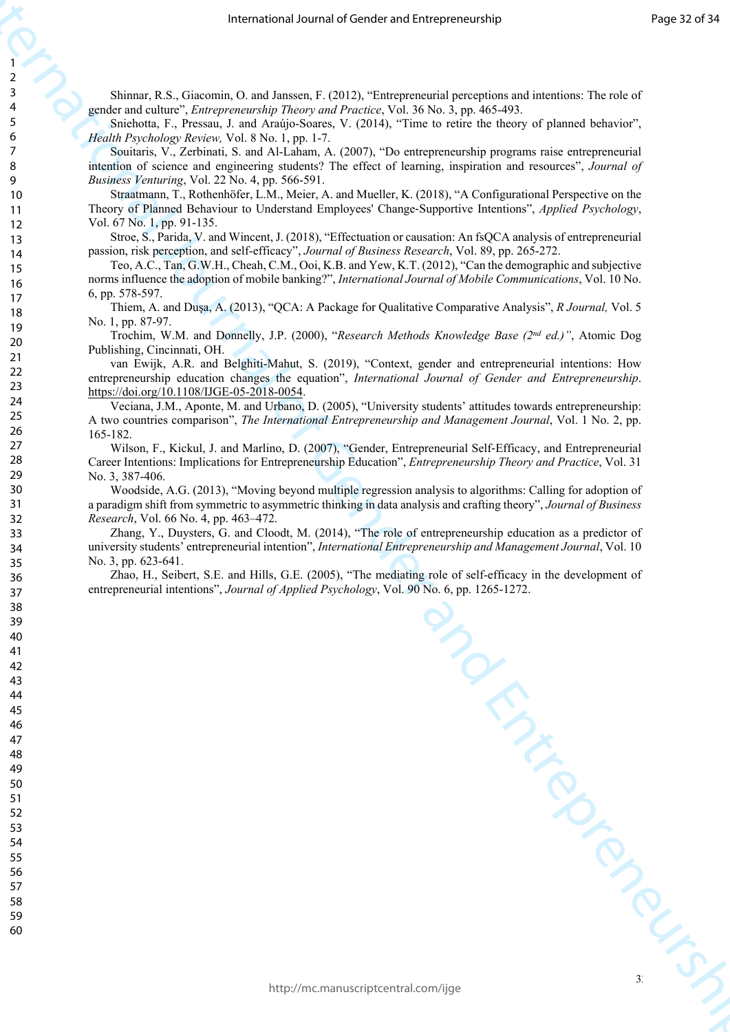Shinnar, R.S., Giacomin, O. and Janssen, F. (2012), "Entrepreneurial perceptions and intentions: The role of gender and culture", *Entrepreneurship Theory and Practice*, Vol. 36 No. 3, pp. 465-493.

Sniehotta, F., Pressau, J. and Araújo-Soares, V. (2014), "Time to retire the theory of planned behavior", *Health Psychology Review,* Vol. 8 No. 1, pp. 1-7.

Souitaris, V., Zerbinati, S. and Al-Laham, A. (2007), "Do entrepreneurship programs raise entrepreneurial intention of science and engineering students? The effect of learning, inspiration and resources", *Journal of Business Venturing*, Vol. 22 No. 4, pp. 566-591.

Straatmann, T., Rothenhöfer, L.M., Meier, A. and Mueller, K. (2018), "A Configurational Perspective on the Theory of Planned Behaviour to Understand Employees' Change‐Supportive Intentions", *Applied Psychology*, Vol. 67 No. 1, pp. 91-135.

Stroe, S., Parida, V. and Wincent, J. (2018), "Effectuation or causation: An fsQCA analysis of entrepreneurial passion, risk perception, and self-efficacy", *Journal of Business Research*, Vol. 89, pp. 265-272.

Teo, A.C., Tan, G.W.H., Cheah, C.M., Ooi, K.B. and Yew, K.T. (2012), "Can the demographic and subjective norms influence the adoption of mobile banking?", *International Journal of Mobile Communications*, Vol. 10 No. 6, pp. 578-597.

Thiem, A. and Duşa, A. (2013), "QCA: A Package for Qualitative Comparative Analysis", *R Journal,* Vol. 5 No. 1, pp. 87-97.

Trochim, W.M. and Donnelly, J.P. (2000), "*Research Methods Knowledge Base (2nd ed.)"*, Atomic Dog Publishing, Cincinnati, OH.

van Ewijk, A.R. and Belghiti-Mahut, S. (2019), "Context, gender and entrepreneurial intentions: How entrepreneurship education changes the equation", *International Journal of Gender and Entrepreneurship*. https://doi.org/10.1108/IJGE-05-2018-0054.

Veciana, J.M., Aponte, M. and Urbano, D. (2005), "University students' attitudes towards entrepreneurship: A two countries comparison", *The International Entrepreneurship and Management Journal*, Vol. 1 No. 2, pp. 165-182.

Wilson, F., Kickul, J. and Marlino, D. (2007), "Gender, Entrepreneurial Self-Efficacy, and Entrepreneurial Career Intentions: Implications for Entrepreneurship Education", *Entrepreneurship Theory and Practice*, Vol. 31 No. 3, 387-406.

Woodside, A.G. (2013), "Moving beyond multiple regression analysis to algorithms: Calling for adoption of a paradigm shift from symmetric to asymmetric thinking in data analysis and crafting theory", *Journal of Business Research*, Vol. 66 No. 4, pp. 463–472.

Frame of General Jeanna of Gender and Alexanomerical particles in the contro[l o](https://doi.org/10.1108/IJGE-05-2018-0054)f General Control of General Control of General Control of General Control of General Control of General Control of General Control of General Zhang, Y., Duysters, G. and Cloodt, M. (2014), "The role of entrepreneurship education as a predictor of university students' entrepreneurial intention", *International Entrepreneurship and Management Journal*, Vol. 10 No. 3, pp. 623-641.

Zhao, H., Seibert, S.E. and Hills, G.E. (2005), "The mediating role of self-efficacy in the development of entrepreneurial intentions", *Journal of Applied Psychology*, Vol. 90 No. 6, pp. 1265-1272.

 $3<sup>2</sup>$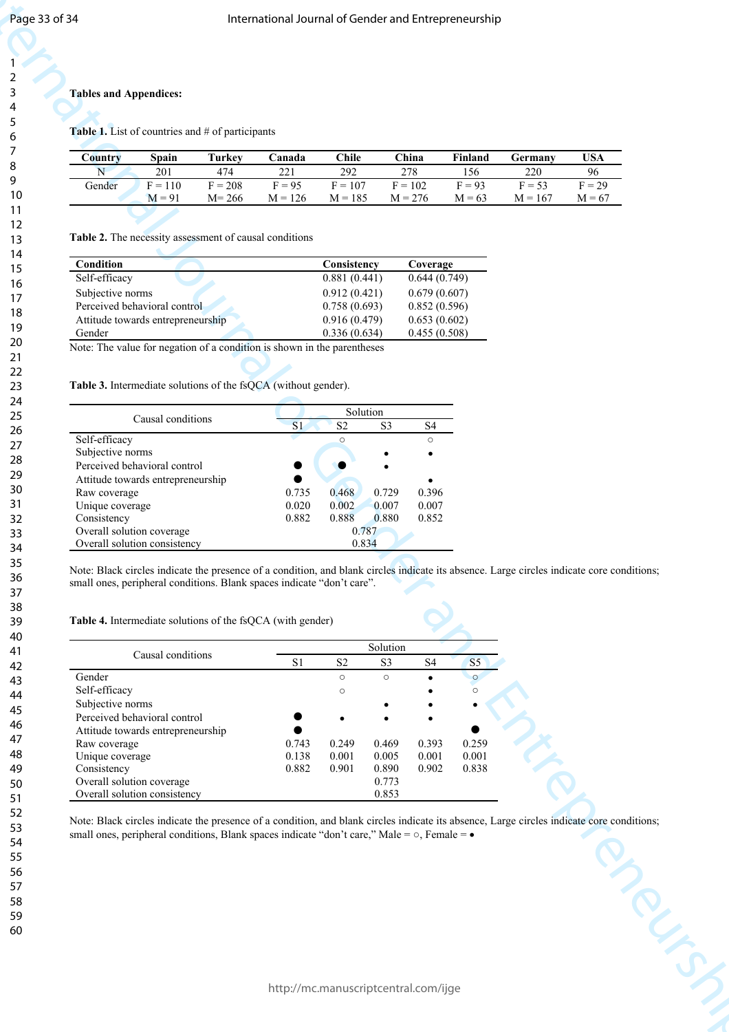#### **Tables and Appendices:**

| Country | Spain     | Turkev    | `anada    | $C$ hile  | C <sub>hina</sub> | Finland  | Germany   | USA      |
|---------|-----------|-----------|-----------|-----------|-------------------|----------|-----------|----------|
| N       | 201       | 474       |           | 292       | 278               | 156      | 220       | 96       |
| Gender  | $F = 110$ | $F = 208$ | $F = 95$  | $F = 107$ | $F = 102$         | $F = 93$ | $F = 53$  | $F = 29$ |
|         | $M = 91$  | $M = 266$ | $M = 126$ | $M = 185$ | $M = 276$         | $M = 63$ | $M = 167$ | $M = 67$ |

| <b>Condition</b>                  | Consistency  | Coverage     |
|-----------------------------------|--------------|--------------|
| Self-efficacy                     | 0.881(0.441) | 0.644(0.749) |
| Subjective norms                  | 0.912(0.421) | 0.679(0.607) |
| Perceived behavioral control      | 0.758(0.693) | 0.852(0.596) |
| Attitude towards entrepreneurship | 0.916(0.479) | 0.653(0.602) |
| Gender                            | 0.336(0.634) | 0.455(0.508) |

#### **Table 3.** Intermediate solutions of the fsOCA (without gender).

|                                   |                |       | Solution       |         |
|-----------------------------------|----------------|-------|----------------|---------|
| Causal conditions                 | S <sub>1</sub> | S2    | S <sub>3</sub> | S4      |
| Self-efficacy                     |                |       |                | $\circ$ |
| Subjective norms                  |                |       |                |         |
| Perceived behavioral control      |                |       |                |         |
| Attitude towards entrepreneurship |                |       |                |         |
| Raw coverage                      | 0.735          | 0.468 | 0.729          | 0.396   |
| Unique coverage                   | 0.020          | 0.002 | 0.007          | 0.007   |
| Consistency                       | 0.882          | 0.888 | 0.880          | 0.852   |
| Overall solution coverage         |                |       | 0.787          |         |
| Overall solution consistency      |                |       | 0.834          |         |

#### **Table 4.** Intermediate solutions of the fsQCA (with gender)

| Country<br>N<br>Gender                                                                                                                                                                                                                                                            |                   |                  |                 |                               |                  |                              |                 |                 |                |
|-----------------------------------------------------------------------------------------------------------------------------------------------------------------------------------------------------------------------------------------------------------------------------------|-------------------|------------------|-----------------|-------------------------------|------------------|------------------------------|-----------------|-----------------|----------------|
| Table 1. List of countries and # of participants                                                                                                                                                                                                                                  |                   |                  |                 |                               |                  |                              |                 |                 |                |
|                                                                                                                                                                                                                                                                                   |                   |                  |                 |                               |                  |                              |                 |                 |                |
|                                                                                                                                                                                                                                                                                   | Spain             | <b>Turkey</b>    | Canada          | <b>Chile</b>                  | China            |                              | Finland         | Germany         | <b>USA</b>     |
|                                                                                                                                                                                                                                                                                   | 201<br>$F = 110$  | 474<br>$F = 208$ | 221<br>$F = 95$ | $\overline{292}$<br>$F = 107$ | 278<br>$F = 102$ |                              | 156<br>$F = 93$ | 220<br>$F = 53$ | 96<br>$F = 29$ |
|                                                                                                                                                                                                                                                                                   | $M = 91$          | $M = 266$        | $M = 126$       | $M = 185$                     | $M = 276$        |                              | $M = 63$        | $M = 167$       | $M = 67$       |
| Table 2. The necessity assessment of causal conditions                                                                                                                                                                                                                            |                   |                  |                 |                               |                  |                              |                 |                 |                |
| <b>Condition</b>                                                                                                                                                                                                                                                                  |                   |                  |                 | Consistency                   |                  | Coverage                     |                 |                 |                |
| Self-efficacy                                                                                                                                                                                                                                                                     |                   |                  |                 | 0.881(0.441)                  |                  | 0.644(0.749)                 |                 |                 |                |
| Subjective norms<br>Perceived behavioral control                                                                                                                                                                                                                                  |                   |                  |                 | 0.912(0.421)<br>0.758(0.693)  |                  | 0.679(0.607)<br>0.852(0.596) |                 |                 |                |
| Attitude towards entrepreneurship                                                                                                                                                                                                                                                 |                   |                  |                 | 0.916(0.479)                  |                  | 0.653(0.602)                 |                 |                 |                |
| Gender<br>Note: The value for negation of a condition is shown in the parentheses                                                                                                                                                                                                 |                   |                  |                 | 0.336(0.634)                  |                  | 0.455(0.508)                 |                 |                 |                |
| Table 3. Intermediate solutions of the fsQCA (without gender).                                                                                                                                                                                                                    |                   |                  |                 |                               |                  |                              |                 |                 |                |
|                                                                                                                                                                                                                                                                                   | Causal conditions |                  | $\overline{S1}$ | Solution<br>$\mathbf{S2}$     | S3               | S <sub>4</sub>               |                 |                 |                |
| Self-efficacy                                                                                                                                                                                                                                                                     |                   |                  |                 | $\circ$                       |                  | $\circ$                      |                 |                 |                |
| Subjective norms<br>Perceived behavioral control                                                                                                                                                                                                                                  |                   |                  |                 |                               |                  |                              |                 |                 |                |
| Attitude towards entrepreneurship                                                                                                                                                                                                                                                 |                   |                  |                 |                               |                  |                              |                 |                 |                |
|                                                                                                                                                                                                                                                                                   |                   |                  |                 |                               |                  |                              |                 |                 |                |
| Raw coverage                                                                                                                                                                                                                                                                      |                   |                  | 0.735           | 0.468                         | 0.729            | 0.396                        |                 |                 |                |
| Unique coverage<br>Consistency                                                                                                                                                                                                                                                    |                   |                  | 0.020<br>0.882  | 0.002<br>0.888                | 0.007<br>0.880   | 0.007<br>0.852               |                 |                 |                |
| Overall solution coverage<br>Overall solution consistency                                                                                                                                                                                                                         |                   |                  |                 | 0.787<br>0.834                |                  |                              |                 |                 |                |
| Note: Black circles indicate the presence of a condition, and blank circles indicate its absence. Large circles indicate core conditions;<br>small ones, peripheral conditions. Blank spaces indicate "don't care".<br>Table 4. Intermediate solutions of the fsQCA (with gender) |                   |                  |                 |                               |                  |                              |                 |                 |                |
|                                                                                                                                                                                                                                                                                   | Causal conditions |                  | S1              | S <sub>2</sub>                | Solution<br>S3   | $\ensuremath{\mathrm{S4}}$   | S <sub>5</sub>  |                 |                |
| Gender                                                                                                                                                                                                                                                                            |                   |                  |                 | $\circ$                       | $\circ$          |                              | $\circ$         |                 |                |
| Self-efficacy<br>Subjective norms                                                                                                                                                                                                                                                 |                   |                  |                 | $\circ$                       |                  |                              | $\circ$         |                 |                |
| Perceived behavioral control                                                                                                                                                                                                                                                      |                   |                  |                 |                               |                  |                              |                 |                 |                |
| Attitude towards entrepreneurship<br>Raw coverage                                                                                                                                                                                                                                 |                   |                  | 0.743           | 0.249                         | 0.469            | 0.393                        | 0.259           |                 |                |
| Unique coverage<br>Consistency                                                                                                                                                                                                                                                    |                   |                  | 0.138<br>0.882  | 0.001<br>0.901                | 0.005<br>0.890   | 0.001<br>0.902               | 0.001<br>0.838  |                 |                |